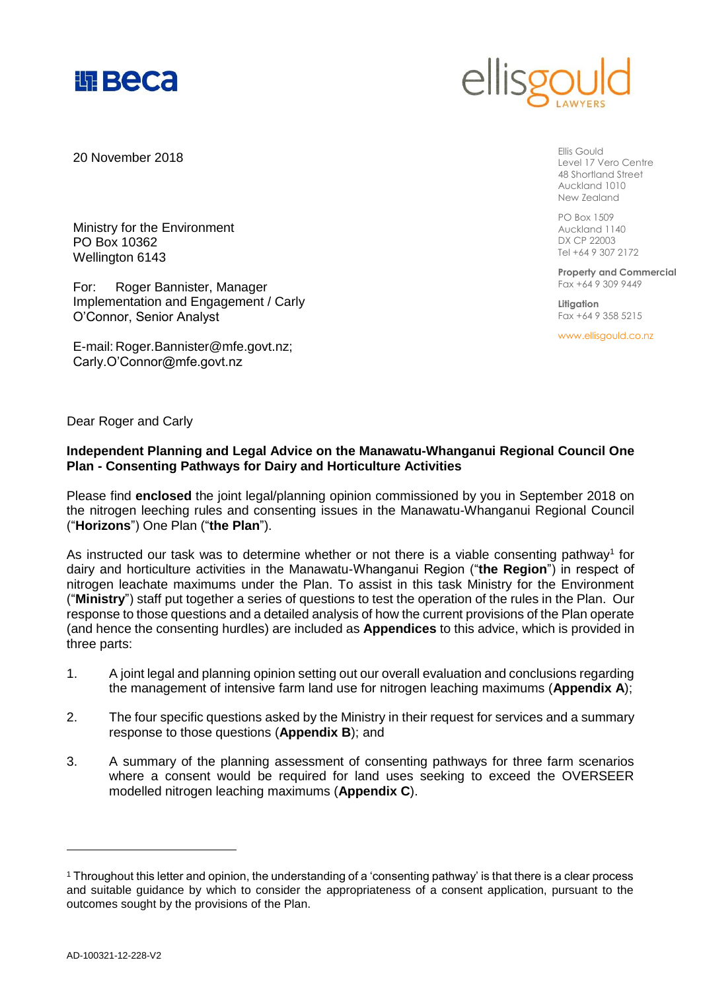



20 November 2018

Ellis Gould Level 17 Vero Centre 48 Shortland Street Auckland 1010 New Zealand

PO Box 1509 Auckland 1140 DX CP 22003 Tel +64 9 307 2172

**Property and Commercial** Fax +64 9 309 9449

**Litigation** Fax +64 9 358 5215

www.ellisgould.co.nz

Ministry for the Environment PO Box 10362 Wellington 6143

For: Roger Bannister, Manager Implementation and Engagement / Carly O'Connor, Senior Analyst

E-mail: Roger.Bannister@mfe.govt.nz; Carly.O'Connor@mfe.govt.nz

Dear Roger and Carly

# **Independent Planning and Legal Advice on the Manawatu-Whanganui Regional Council One Plan - Consenting Pathways for Dairy and Horticulture Activities**

Please find **enclosed** the joint legal/planning opinion commissioned by you in September 2018 on the nitrogen leeching rules and consenting issues in the Manawatu-Whanganui Regional Council ("**Horizons**") One Plan ("**the Plan**").

As instructed our task was to determine whether or not there is a viable consenting pathway<sup>1</sup> for dairy and horticulture activities in the Manawatu-Whanganui Region ("**the Region**") in respect of nitrogen leachate maximums under the Plan. To assist in this task Ministry for the Environment ("**Ministry**") staff put together a series of questions to test the operation of the rules in the Plan. Our response to those questions and a detailed analysis of how the current provisions of the Plan operate (and hence the consenting hurdles) are included as **Appendices** to this advice, which is provided in three parts:

- 1. A joint legal and planning opinion setting out our overall evaluation and conclusions regarding the management of intensive farm land use for nitrogen leaching maximums (**Appendix A**);
- 2. The four specific questions asked by the Ministry in their request for services and a summary response to those questions (**Appendix B**); and
- 3. A summary of the planning assessment of consenting pathways for three farm scenarios where a consent would be required for land uses seeking to exceed the OVERSEER modelled nitrogen leaching maximums (**Appendix C**).

<sup>1</sup> Throughout this letter and opinion, the understanding of a 'consenting pathway' is that there is a clear process and suitable guidance by which to consider the appropriateness of a consent application, pursuant to the outcomes sought by the provisions of the Plan.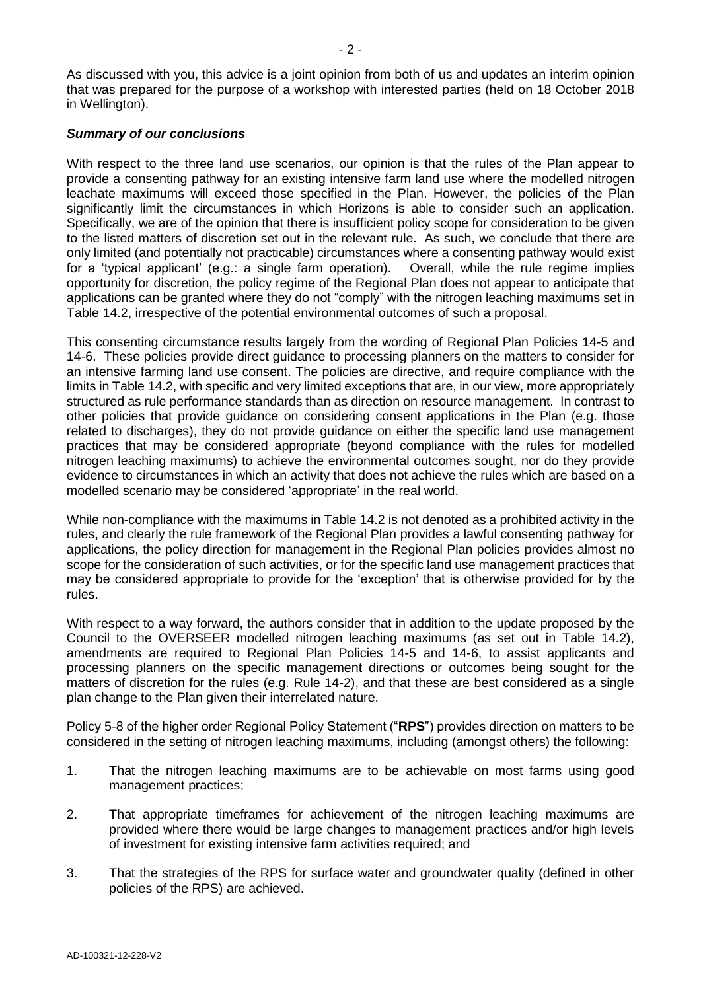## *Summary of our conclusions*

With respect to the three land use scenarios, our opinion is that the rules of the Plan appear to provide a consenting pathway for an existing intensive farm land use where the modelled nitrogen leachate maximums will exceed those specified in the Plan. However, the policies of the Plan significantly limit the circumstances in which Horizons is able to consider such an application. Specifically, we are of the opinion that there is insufficient policy scope for consideration to be given to the listed matters of discretion set out in the relevant rule. As such, we conclude that there are only limited (and potentially not practicable) circumstances where a consenting pathway would exist for a 'typical applicant' (e.g.: a single farm operation). Overall, while the rule regime implies opportunity for discretion, the policy regime of the Regional Plan does not appear to anticipate that applications can be granted where they do not "comply" with the nitrogen leaching maximums set in Table 14.2, irrespective of the potential environmental outcomes of such a proposal.

This consenting circumstance results largely from the wording of Regional Plan Policies 14-5 and 14-6. These policies provide direct guidance to processing planners on the matters to consider for an intensive farming land use consent. The policies are directive, and require compliance with the limits in Table 14.2, with specific and very limited exceptions that are, in our view, more appropriately structured as rule performance standards than as direction on resource management. In contrast to other policies that provide guidance on considering consent applications in the Plan (e.g. those related to discharges), they do not provide guidance on either the specific land use management practices that may be considered appropriate (beyond compliance with the rules for modelled nitrogen leaching maximums) to achieve the environmental outcomes sought, nor do they provide evidence to circumstances in which an activity that does not achieve the rules which are based on a modelled scenario may be considered 'appropriate' in the real world.

While non-compliance with the maximums in Table 14.2 is not denoted as a prohibited activity in the rules, and clearly the rule framework of the Regional Plan provides a lawful consenting pathway for applications, the policy direction for management in the Regional Plan policies provides almost no scope for the consideration of such activities, or for the specific land use management practices that may be considered appropriate to provide for the 'exception' that is otherwise provided for by the rules.

With respect to a way forward, the authors consider that in addition to the update proposed by the Council to the OVERSEER modelled nitrogen leaching maximums (as set out in Table 14.2), amendments are required to Regional Plan Policies 14-5 and 14-6, to assist applicants and processing planners on the specific management directions or outcomes being sought for the matters of discretion for the rules (e.g. Rule 14-2), and that these are best considered as a single plan change to the Plan given their interrelated nature.

Policy 5-8 of the higher order Regional Policy Statement ("**RPS**") provides direction on matters to be considered in the setting of nitrogen leaching maximums, including (amongst others) the following:

- 1. That the nitrogen leaching maximums are to be achievable on most farms using good management practices;
- 2. That appropriate timeframes for achievement of the nitrogen leaching maximums are provided where there would be large changes to management practices and/or high levels of investment for existing intensive farm activities required; and
- 3. That the strategies of the RPS for surface water and groundwater quality (defined in other policies of the RPS) are achieved.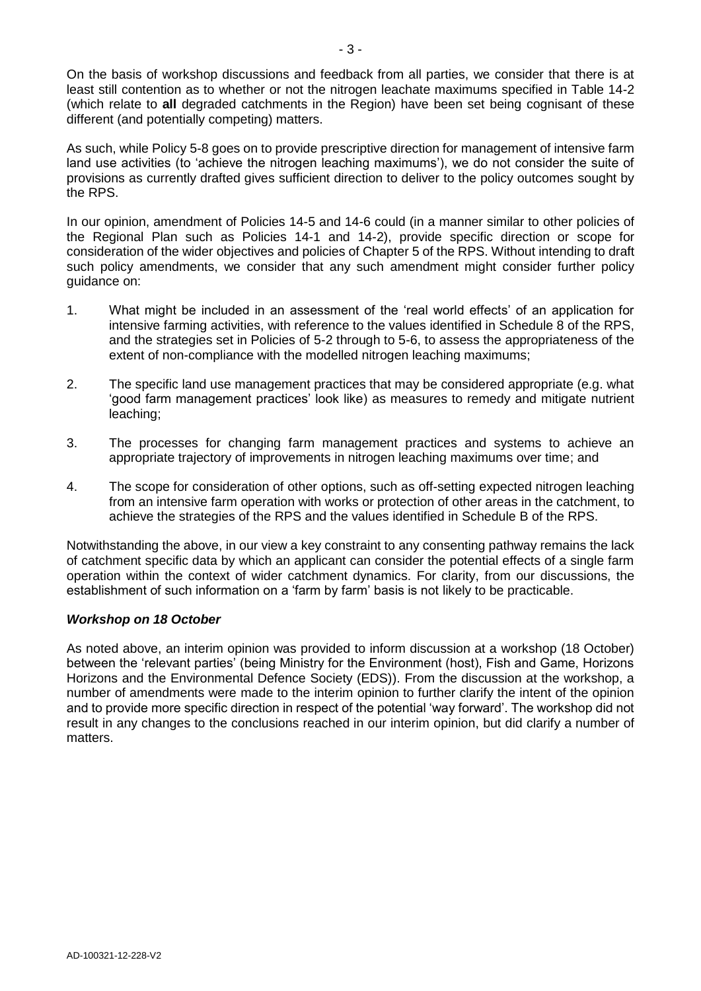On the basis of workshop discussions and feedback from all parties, we consider that there is at least still contention as to whether or not the nitrogen leachate maximums specified in Table 14-2 (which relate to **all** degraded catchments in the Region) have been set being cognisant of these different (and potentially competing) matters.

As such, while Policy 5-8 goes on to provide prescriptive direction for management of intensive farm land use activities (to 'achieve the nitrogen leaching maximums'), we do not consider the suite of provisions as currently drafted gives sufficient direction to deliver to the policy outcomes sought by the RPS.

In our opinion, amendment of Policies 14-5 and 14-6 could (in a manner similar to other policies of the Regional Plan such as Policies 14-1 and 14-2), provide specific direction or scope for consideration of the wider objectives and policies of Chapter 5 of the RPS. Without intending to draft such policy amendments, we consider that any such amendment might consider further policy guidance on:

- 1. What might be included in an assessment of the 'real world effects' of an application for intensive farming activities, with reference to the values identified in Schedule 8 of the RPS, and the strategies set in Policies of 5-2 through to 5-6, to assess the appropriateness of the extent of non-compliance with the modelled nitrogen leaching maximums;
- 2. The specific land use management practices that may be considered appropriate (e.g. what 'good farm management practices' look like) as measures to remedy and mitigate nutrient leaching;
- 3. The processes for changing farm management practices and systems to achieve an appropriate trajectory of improvements in nitrogen leaching maximums over time; and
- 4. The scope for consideration of other options, such as off-setting expected nitrogen leaching from an intensive farm operation with works or protection of other areas in the catchment, to achieve the strategies of the RPS and the values identified in Schedule B of the RPS.

Notwithstanding the above, in our view a key constraint to any consenting pathway remains the lack of catchment specific data by which an applicant can consider the potential effects of a single farm operation within the context of wider catchment dynamics. For clarity, from our discussions, the establishment of such information on a 'farm by farm' basis is not likely to be practicable.

# *Workshop on 18 October*

As noted above, an interim opinion was provided to inform discussion at a workshop (18 October) between the 'relevant parties' (being Ministry for the Environment (host), Fish and Game, Horizons Horizons and the Environmental Defence Society (EDS)). From the discussion at the workshop, a number of amendments were made to the interim opinion to further clarify the intent of the opinion and to provide more specific direction in respect of the potential 'way forward'. The workshop did not result in any changes to the conclusions reached in our interim opinion, but did clarify a number of matters.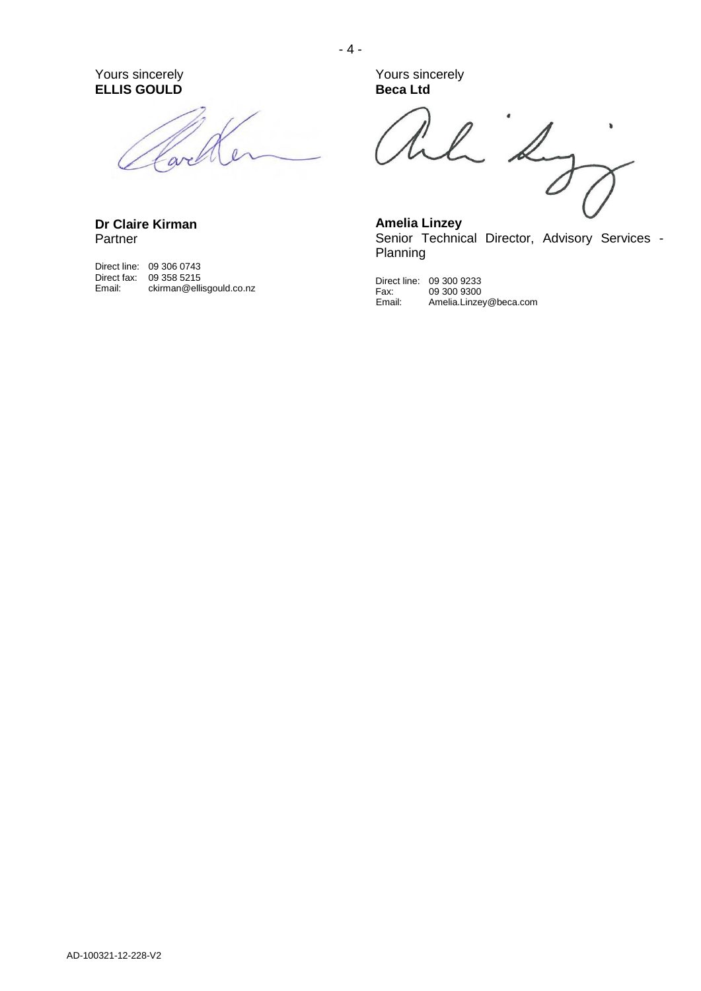Yours sincerely **ELLIS GOULD**

are

**Dr Claire Kirman** Partner

Direct line: 09 306 0743 Direct fax: 09 358 5215 Email: ckirman@ellisgould.co.nz Yours sincerely **Beca Ltd**

 $L^2$  $\pmb{\delta}$ 

**Amelia Linzey** Senior Technical Director, Advisory Services -Planning

Direct line: 09 300 9233 Fax: 09 300 9300 Email: Amelia.Linzey@beca.com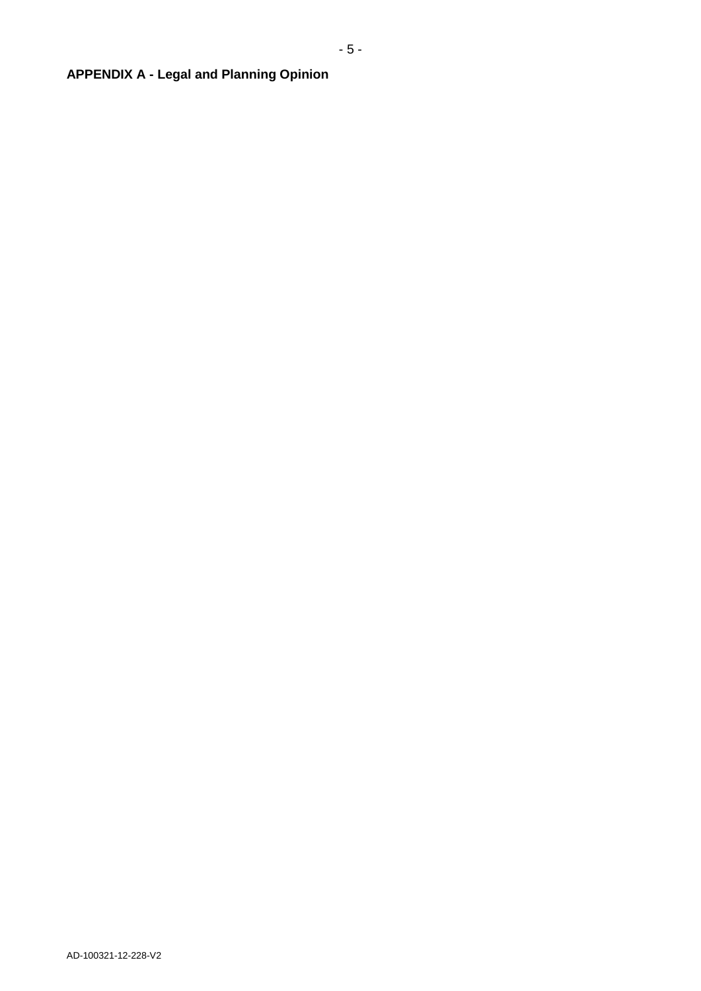# **APPENDIX A - Legal and Planning Opinion**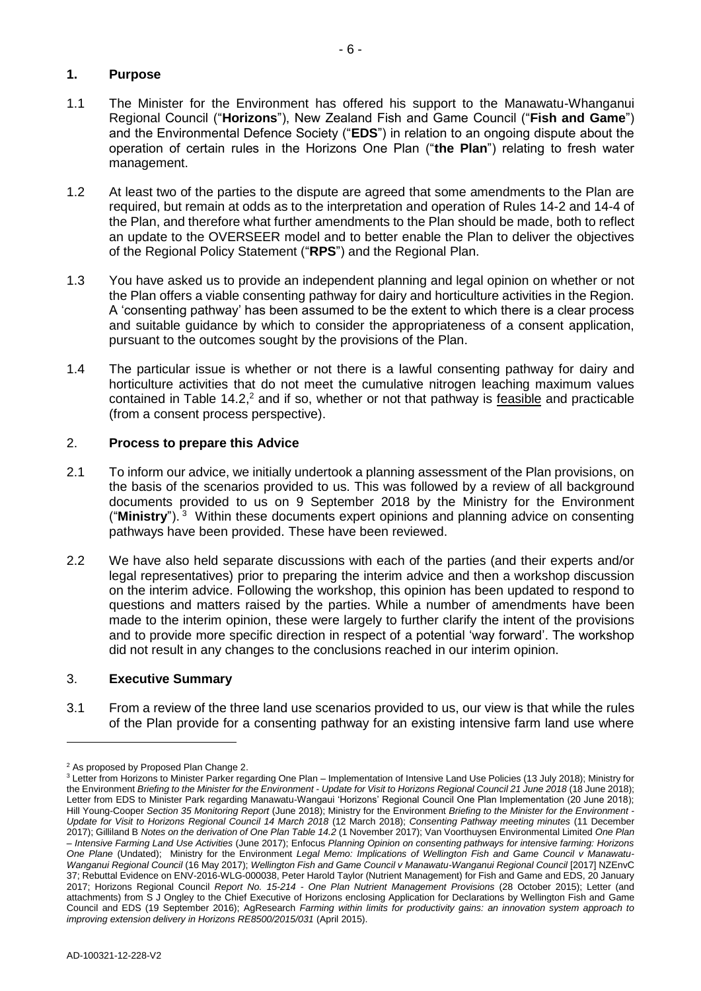# **1. Purpose**

- 1.1 The Minister for the Environment has offered his support to the Manawatu-Whanganui Regional Council ("**Horizons**"), New Zealand Fish and Game Council ("**Fish and Game**") and the Environmental Defence Society ("**EDS**") in relation to an ongoing dispute about the operation of certain rules in the Horizons One Plan ("**the Plan**") relating to fresh water management.
- 1.2 At least two of the parties to the dispute are agreed that some amendments to the Plan are required, but remain at odds as to the interpretation and operation of Rules 14-2 and 14-4 of the Plan, and therefore what further amendments to the Plan should be made, both to reflect an update to the OVERSEER model and to better enable the Plan to deliver the objectives of the Regional Policy Statement ("**RPS**") and the Regional Plan.
- 1.3 You have asked us to provide an independent planning and legal opinion on whether or not the Plan offers a viable consenting pathway for dairy and horticulture activities in the Region. A 'consenting pathway' has been assumed to be the extent to which there is a clear process and suitable guidance by which to consider the appropriateness of a consent application, pursuant to the outcomes sought by the provisions of the Plan.
- 1.4 The particular issue is whether or not there is a lawful consenting pathway for dairy and horticulture activities that do not meet the cumulative nitrogen leaching maximum values contained in Table 14.2,<sup>2</sup> and if so, whether or not that pathway is feasible and practicable (from a consent process perspective).

# 2. **Process to prepare this Advice**

- 2.1 To inform our advice, we initially undertook a planning assessment of the Plan provisions, on the basis of the scenarios provided to us. This was followed by a review of all background documents provided to us on 9 September 2018 by the Ministry for the Environment ("**Ministry**"). <sup>3</sup> Within these documents expert opinions and planning advice on consenting pathways have been provided. These have been reviewed.
- 2.2 We have also held separate discussions with each of the parties (and their experts and/or legal representatives) prior to preparing the interim advice and then a workshop discussion on the interim advice. Following the workshop, this opinion has been updated to respond to questions and matters raised by the parties. While a number of amendments have been made to the interim opinion, these were largely to further clarify the intent of the provisions and to provide more specific direction in respect of a potential 'way forward'. The workshop did not result in any changes to the conclusions reached in our interim opinion.

### 3. **Executive Summary**

3.1 From a review of the three land use scenarios provided to us, our view is that while the rules of the Plan provide for a consenting pathway for an existing intensive farm land use where

<sup>2</sup> As proposed by Proposed Plan Change 2.

<sup>&</sup>lt;sup>3</sup> Letter from Horizons to Minister Parker regarding One Plan – Implementation of Intensive Land Use Policies (13 July 2018); Ministry for the Environment *Briefing to the Minister for the Environment - Update for Visit to Horizons Regional Council 21 June 2018* (18 June 2018); Letter from EDS to Minister Park regarding Manawatu-Wangaui 'Horizons' Regional Council One Plan Implementation (20 June 2018); Hill Young-Cooper *Section 35 Monitoring Report* (June 2018); Ministry for the Environment *Briefing to the Minister for the Environment - Update for Visit to Horizons Regional Council 14 March 2018* (12 March 2018); *Consenting Pathway meeting minutes* (11 December 2017); Gilliland B *Notes on the derivation of One Plan Table 14.2* (1 November 2017); Van Voorthuysen Environmental Limited *One Plan – Intensive Farming Land Use Activities* (June 2017); Enfocus *Planning Opinion on consenting pathways for intensive farming: Horizons One Plane* (Undated); Ministry for the Environment *Legal Memo: Implications of Wellington Fish and Game Council v Manawatu-Wanganui Regional Council* (16 May 2017); *Wellington Fish and Game Council v Manawatu-Wanganui Regional Council* [2017] NZEnvC 37; Rebuttal Evidence on ENV-2016-WLG-000038, Peter Harold Taylor (Nutrient Management) for Fish and Game and EDS, 20 January 2017; Horizons Regional Council *Report No. 15-214 - One Plan Nutrient Management Provisions* (28 October 2015); Letter (and attachments) from S J Ongley to the Chief Executive of Horizons enclosing Application for Declarations by Wellington Fish and Game Council and EDS (19 September 2016); AgResearch *Farming within limits for productivity gains: an innovation system approach to improving extension delivery in Horizons RE8500/2015/031* (April 2015).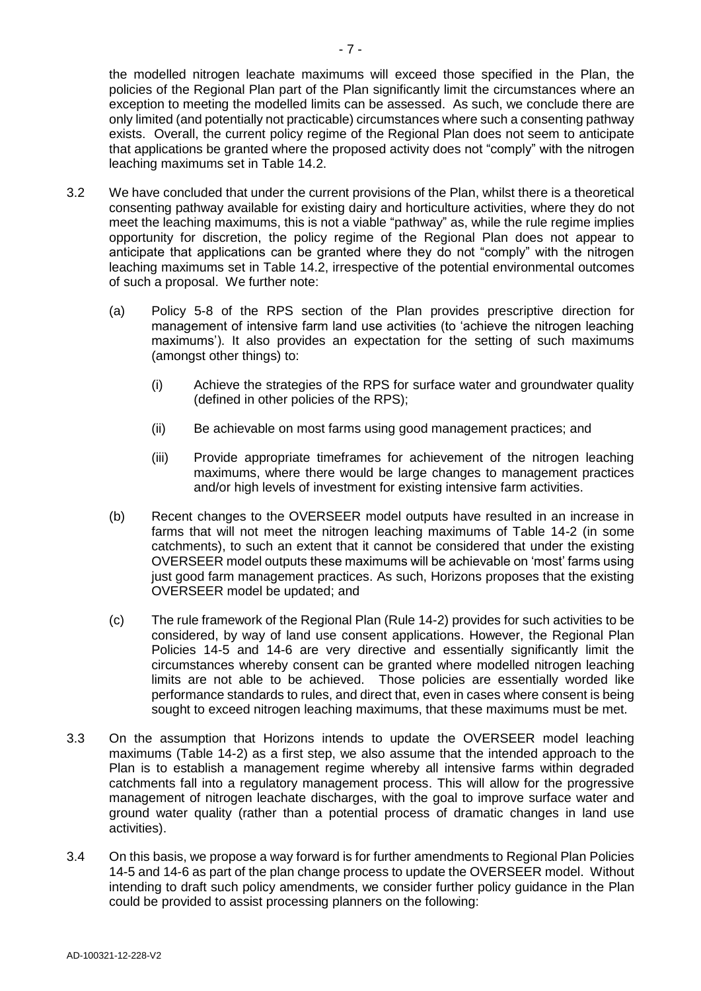the modelled nitrogen leachate maximums will exceed those specified in the Plan, the policies of the Regional Plan part of the Plan significantly limit the circumstances where an exception to meeting the modelled limits can be assessed. As such, we conclude there are only limited (and potentially not practicable) circumstances where such a consenting pathway exists. Overall, the current policy regime of the Regional Plan does not seem to anticipate that applications be granted where the proposed activity does not "comply" with the nitrogen leaching maximums set in Table 14.2.

- 3.2 We have concluded that under the current provisions of the Plan, whilst there is a theoretical consenting pathway available for existing dairy and horticulture activities, where they do not meet the leaching maximums, this is not a viable "pathway" as, while the rule regime implies opportunity for discretion, the policy regime of the Regional Plan does not appear to anticipate that applications can be granted where they do not "comply" with the nitrogen leaching maximums set in Table 14.2, irrespective of the potential environmental outcomes of such a proposal. We further note:
	- (a) Policy 5-8 of the RPS section of the Plan provides prescriptive direction for management of intensive farm land use activities (to 'achieve the nitrogen leaching maximums'). It also provides an expectation for the setting of such maximums (amongst other things) to:
		- (i) Achieve the strategies of the RPS for surface water and groundwater quality (defined in other policies of the RPS);
		- (ii) Be achievable on most farms using good management practices; and
		- (iii) Provide appropriate timeframes for achievement of the nitrogen leaching maximums, where there would be large changes to management practices and/or high levels of investment for existing intensive farm activities.
	- (b) Recent changes to the OVERSEER model outputs have resulted in an increase in farms that will not meet the nitrogen leaching maximums of Table 14-2 (in some catchments), to such an extent that it cannot be considered that under the existing OVERSEER model outputs these maximums will be achievable on 'most' farms using just good farm management practices. As such, Horizons proposes that the existing OVERSEER model be updated; and
	- (c) The rule framework of the Regional Plan (Rule 14-2) provides for such activities to be considered, by way of land use consent applications. However, the Regional Plan Policies 14-5 and 14-6 are very directive and essentially significantly limit the circumstances whereby consent can be granted where modelled nitrogen leaching limits are not able to be achieved. Those policies are essentially worded like performance standards to rules, and direct that, even in cases where consent is being sought to exceed nitrogen leaching maximums, that these maximums must be met.
- 3.3 On the assumption that Horizons intends to update the OVERSEER model leaching maximums (Table 14-2) as a first step, we also assume that the intended approach to the Plan is to establish a management regime whereby all intensive farms within degraded catchments fall into a regulatory management process. This will allow for the progressive management of nitrogen leachate discharges, with the goal to improve surface water and ground water quality (rather than a potential process of dramatic changes in land use activities).
- 3.4 On this basis, we propose a way forward is for further amendments to Regional Plan Policies 14-5 and 14-6 as part of the plan change process to update the OVERSEER model. Without intending to draft such policy amendments, we consider further policy guidance in the Plan could be provided to assist processing planners on the following: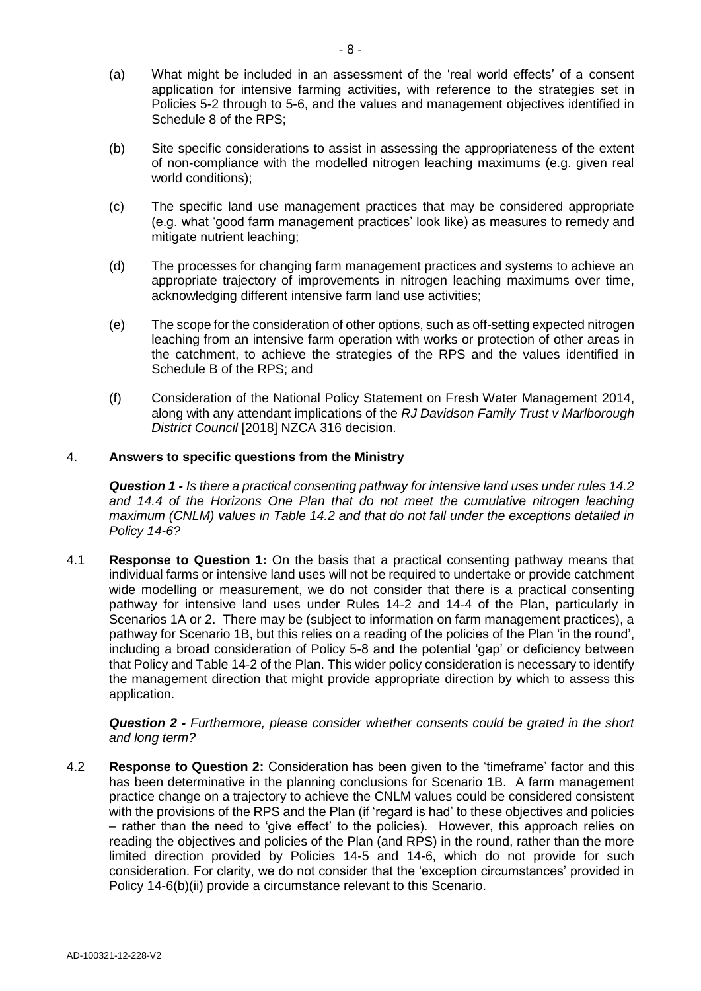- (a) What might be included in an assessment of the 'real world effects' of a consent application for intensive farming activities, with reference to the strategies set in Policies 5-2 through to 5-6, and the values and management objectives identified in Schedule 8 of the RPS;
- (b) Site specific considerations to assist in assessing the appropriateness of the extent of non-compliance with the modelled nitrogen leaching maximums (e.g. given real world conditions);
- (c) The specific land use management practices that may be considered appropriate (e.g. what 'good farm management practices' look like) as measures to remedy and mitigate nutrient leaching;
- (d) The processes for changing farm management practices and systems to achieve an appropriate trajectory of improvements in nitrogen leaching maximums over time, acknowledging different intensive farm land use activities;
- (e) The scope for the consideration of other options, such as off-setting expected nitrogen leaching from an intensive farm operation with works or protection of other areas in the catchment, to achieve the strategies of the RPS and the values identified in Schedule B of the RPS; and
- (f) Consideration of the National Policy Statement on Fresh Water Management 2014, along with any attendant implications of the *RJ Davidson Family Trust v Marlborough District Council* [2018] NZCA 316 decision.

# 4. **Answers to specific questions from the Ministry**

*Question 1 - Is there a practical consenting pathway for intensive land uses under rules 14.2*  and 14.4 of the Horizons One Plan that do not meet the cumulative nitrogen leaching *maximum (CNLM) values in Table 14.2 and that do not fall under the exceptions detailed in Policy 14-6?* 

4.1 **Response to Question 1:** On the basis that a practical consenting pathway means that individual farms or intensive land uses will not be required to undertake or provide catchment wide modelling or measurement, we do not consider that there is a practical consenting pathway for intensive land uses under Rules 14-2 and 14-4 of the Plan, particularly in Scenarios 1A or 2. There may be (subject to information on farm management practices), a pathway for Scenario 1B, but this relies on a reading of the policies of the Plan 'in the round', including a broad consideration of Policy 5-8 and the potential 'gap' or deficiency between that Policy and Table 14-2 of the Plan. This wider policy consideration is necessary to identify the management direction that might provide appropriate direction by which to assess this application.

*Question 2 - Furthermore, please consider whether consents could be grated in the short and long term?*

4.2 **Response to Question 2:** Consideration has been given to the 'timeframe' factor and this has been determinative in the planning conclusions for Scenario 1B. A farm management practice change on a trajectory to achieve the CNLM values could be considered consistent with the provisions of the RPS and the Plan (if 'regard is had' to these objectives and policies – rather than the need to 'give effect' to the policies). However, this approach relies on reading the objectives and policies of the Plan (and RPS) in the round, rather than the more limited direction provided by Policies 14-5 and 14-6, which do not provide for such consideration. For clarity, we do not consider that the 'exception circumstances' provided in Policy 14-6(b)(ii) provide a circumstance relevant to this Scenario.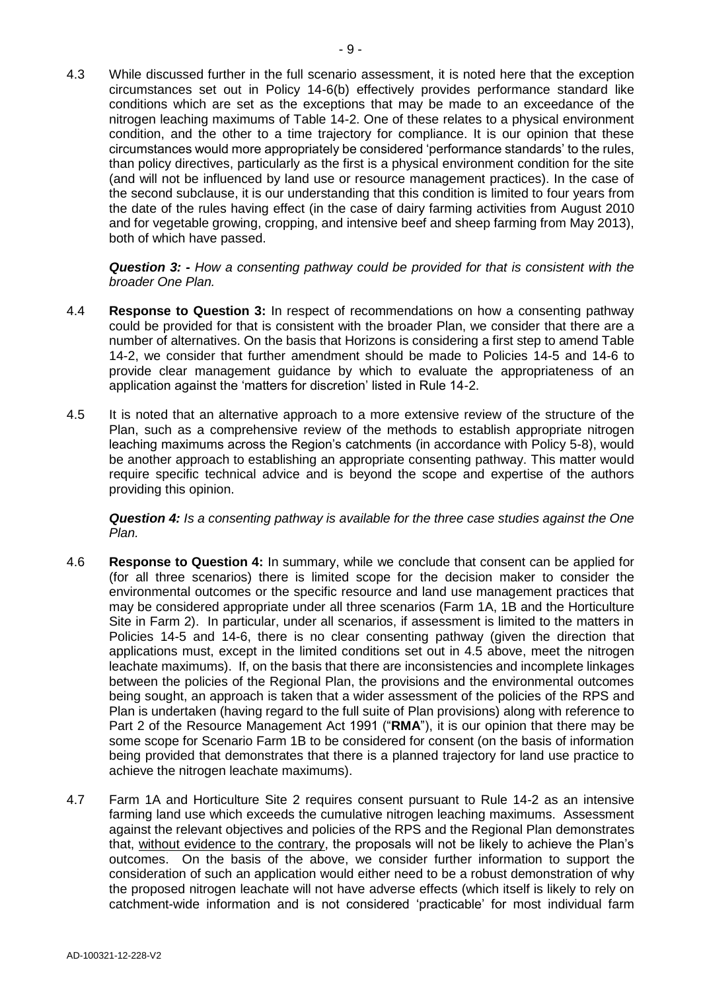4.3 While discussed further in the full scenario assessment, it is noted here that the exception circumstances set out in Policy 14-6(b) effectively provides performance standard like conditions which are set as the exceptions that may be made to an exceedance of the nitrogen leaching maximums of Table 14-2. One of these relates to a physical environment condition, and the other to a time trajectory for compliance. It is our opinion that these circumstances would more appropriately be considered 'performance standards' to the rules, than policy directives, particularly as the first is a physical environment condition for the site (and will not be influenced by land use or resource management practices). In the case of the second subclause, it is our understanding that this condition is limited to four years from the date of the rules having effect (in the case of dairy farming activities from August 2010 and for vegetable growing, cropping, and intensive beef and sheep farming from May 2013), both of which have passed.

*Question 3: - How a consenting pathway could be provided for that is consistent with the broader One Plan.*

- 4.4 **Response to Question 3:** In respect of recommendations on how a consenting pathway could be provided for that is consistent with the broader Plan, we consider that there are a number of alternatives. On the basis that Horizons is considering a first step to amend Table 14-2, we consider that further amendment should be made to Policies 14-5 and 14-6 to provide clear management guidance by which to evaluate the appropriateness of an application against the 'matters for discretion' listed in Rule 14-2.
- 4.5 It is noted that an alternative approach to a more extensive review of the structure of the Plan, such as a comprehensive review of the methods to establish appropriate nitrogen leaching maximums across the Region's catchments (in accordance with Policy 5-8), would be another approach to establishing an appropriate consenting pathway. This matter would require specific technical advice and is beyond the scope and expertise of the authors providing this opinion.

*Question 4: Is a consenting pathway is available for the three case studies against the One Plan.*

- 4.6 **Response to Question 4:** In summary, while we conclude that consent can be applied for (for all three scenarios) there is limited scope for the decision maker to consider the environmental outcomes or the specific resource and land use management practices that may be considered appropriate under all three scenarios (Farm 1A, 1B and the Horticulture Site in Farm 2). In particular, under all scenarios, if assessment is limited to the matters in Policies 14-5 and 14-6, there is no clear consenting pathway (given the direction that applications must, except in the limited conditions set out in 4.5 above, meet the nitrogen leachate maximums). If, on the basis that there are inconsistencies and incomplete linkages between the policies of the Regional Plan, the provisions and the environmental outcomes being sought, an approach is taken that a wider assessment of the policies of the RPS and Plan is undertaken (having regard to the full suite of Plan provisions) along with reference to Part 2 of the Resource Management Act 1991 ("**RMA**"), it is our opinion that there may be some scope for Scenario Farm 1B to be considered for consent (on the basis of information being provided that demonstrates that there is a planned trajectory for land use practice to achieve the nitrogen leachate maximums).
- 4.7 Farm 1A and Horticulture Site 2 requires consent pursuant to Rule 14-2 as an intensive farming land use which exceeds the cumulative nitrogen leaching maximums. Assessment against the relevant objectives and policies of the RPS and the Regional Plan demonstrates that, without evidence to the contrary, the proposals will not be likely to achieve the Plan's outcomes. On the basis of the above, we consider further information to support the consideration of such an application would either need to be a robust demonstration of why the proposed nitrogen leachate will not have adverse effects (which itself is likely to rely on catchment-wide information and is not considered 'practicable' for most individual farm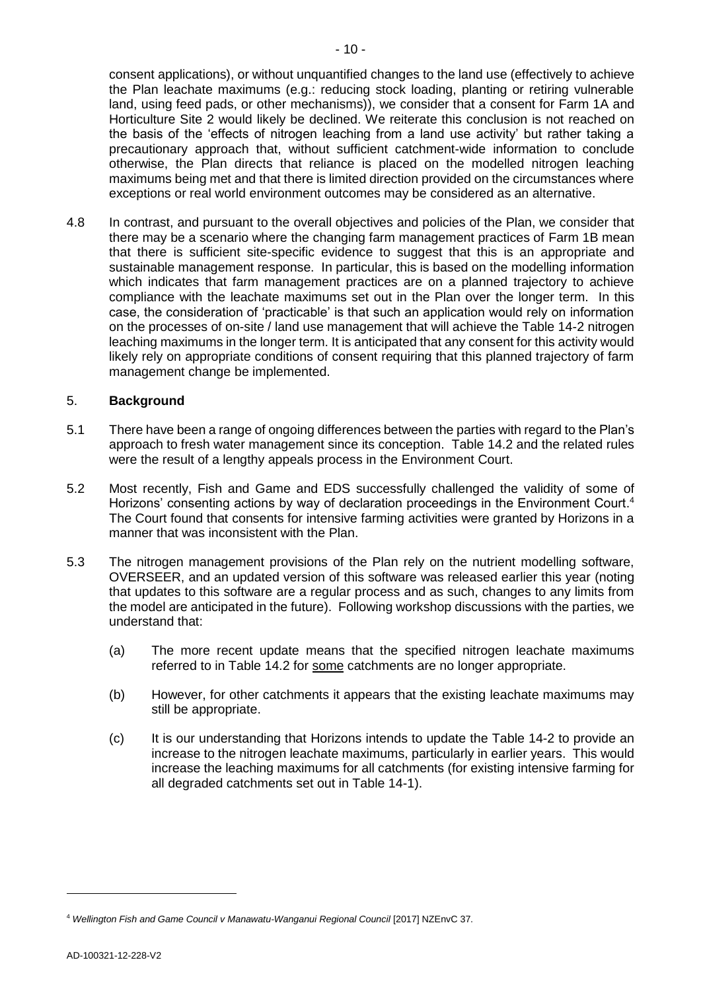consent applications), or without unquantified changes to the land use (effectively to achieve the Plan leachate maximums (e.g.: reducing stock loading, planting or retiring vulnerable land, using feed pads, or other mechanisms)), we consider that a consent for Farm 1A and Horticulture Site 2 would likely be declined. We reiterate this conclusion is not reached on the basis of the 'effects of nitrogen leaching from a land use activity' but rather taking a precautionary approach that, without sufficient catchment-wide information to conclude otherwise, the Plan directs that reliance is placed on the modelled nitrogen leaching maximums being met and that there is limited direction provided on the circumstances where exceptions or real world environment outcomes may be considered as an alternative.

4.8 In contrast, and pursuant to the overall objectives and policies of the Plan, we consider that there may be a scenario where the changing farm management practices of Farm 1B mean that there is sufficient site-specific evidence to suggest that this is an appropriate and sustainable management response. In particular, this is based on the modelling information which indicates that farm management practices are on a planned trajectory to achieve compliance with the leachate maximums set out in the Plan over the longer term. In this case, the consideration of 'practicable' is that such an application would rely on information on the processes of on-site / land use management that will achieve the Table 14-2 nitrogen leaching maximums in the longer term. It is anticipated that any consent for this activity would likely rely on appropriate conditions of consent requiring that this planned trajectory of farm management change be implemented.

## 5. **Background**

- 5.1 There have been a range of ongoing differences between the parties with regard to the Plan's approach to fresh water management since its conception. Table 14.2 and the related rules were the result of a lengthy appeals process in the Environment Court.
- 5.2 Most recently, Fish and Game and EDS successfully challenged the validity of some of Horizons' consenting actions by way of declaration proceedings in the Environment Court.<sup>4</sup> The Court found that consents for intensive farming activities were granted by Horizons in a manner that was inconsistent with the Plan.
- 5.3 The nitrogen management provisions of the Plan rely on the nutrient modelling software, OVERSEER, and an updated version of this software was released earlier this year (noting that updates to this software are a regular process and as such, changes to any limits from the model are anticipated in the future). Following workshop discussions with the parties, we understand that:
	- (a) The more recent update means that the specified nitrogen leachate maximums referred to in Table 14.2 for some catchments are no longer appropriate.
	- (b) However, for other catchments it appears that the existing leachate maximums may still be appropriate.
	- (c) It is our understanding that Horizons intends to update the Table 14-2 to provide an increase to the nitrogen leachate maximums, particularly in earlier years. This would increase the leaching maximums for all catchments (for existing intensive farming for all degraded catchments set out in Table 14-1).

<sup>4</sup> *Wellington Fish and Game Council v Manawatu-Wanganui Regional Council* [2017] NZEnvC 37.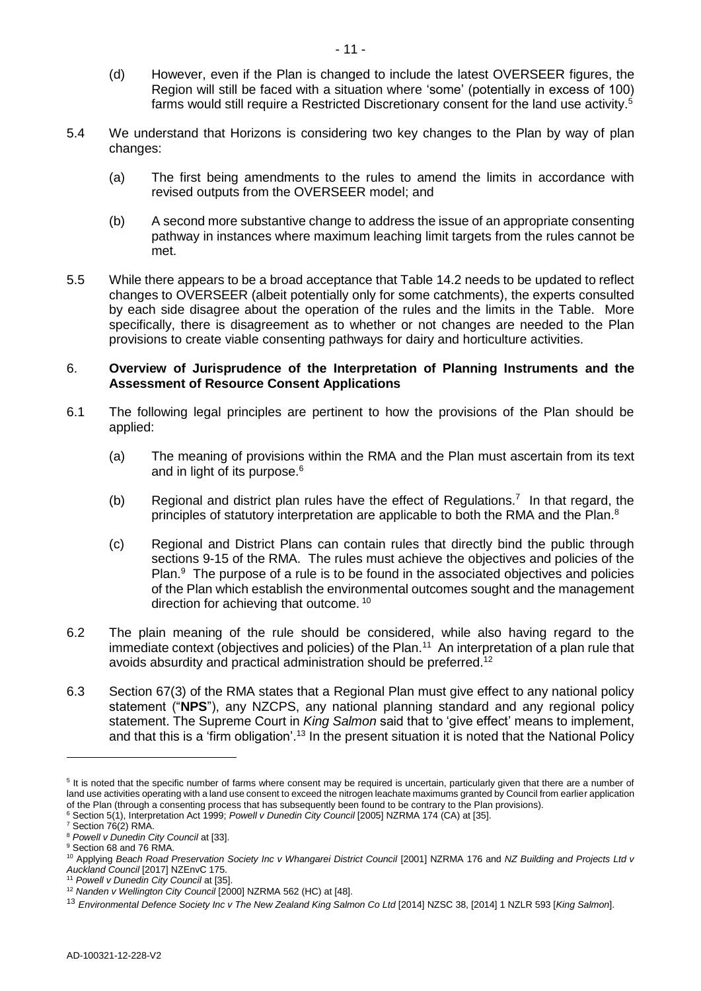- (d) However, even if the Plan is changed to include the latest OVERSEER figures, the Region will still be faced with a situation where 'some' (potentially in excess of 100) farms would still require a Restricted Discretionary consent for the land use activity.<sup>5</sup>
- 5.4 We understand that Horizons is considering two key changes to the Plan by way of plan changes:
	- (a) The first being amendments to the rules to amend the limits in accordance with revised outputs from the OVERSEER model; and
	- (b) A second more substantive change to address the issue of an appropriate consenting pathway in instances where maximum leaching limit targets from the rules cannot be met.
- 5.5 While there appears to be a broad acceptance that Table 14.2 needs to be updated to reflect changes to OVERSEER (albeit potentially only for some catchments), the experts consulted by each side disagree about the operation of the rules and the limits in the Table. More specifically, there is disagreement as to whether or not changes are needed to the Plan provisions to create viable consenting pathways for dairy and horticulture activities.

## 6. **Overview of Jurisprudence of the Interpretation of Planning Instruments and the Assessment of Resource Consent Applications**

- 6.1 The following legal principles are pertinent to how the provisions of the Plan should be applied:
	- (a) The meaning of provisions within the RMA and the Plan must ascertain from its text and in light of its purpose.<sup>6</sup>
	- (b) Regional and district plan rules have the effect of Regulations.<sup>7</sup> In that regard, the principles of statutory interpretation are applicable to both the RMA and the Plan.<sup>8</sup>
	- (c) Regional and District Plans can contain rules that directly bind the public through sections 9-15 of the RMA. The rules must achieve the objectives and policies of the Plan.<sup>9</sup> The purpose of a rule is to be found in the associated objectives and policies of the Plan which establish the environmental outcomes sought and the management direction for achieving that outcome. <sup>10</sup>
- 6.2 The plain meaning of the rule should be considered, while also having regard to the immediate context (objectives and policies) of the Plan.<sup>11</sup> An interpretation of a plan rule that avoids absurdity and practical administration should be preferred.<sup>12</sup>
- 6.3 Section 67(3) of the RMA states that a Regional Plan must give effect to any national policy statement ("**NPS**"), any NZCPS, any national planning standard and any regional policy statement. The Supreme Court in *King Salmon* said that to 'give effect' means to implement, and that this is a 'firm obligation'.<sup>13</sup> In the present situation it is noted that the National Policy

<sup>&</sup>lt;sup>5</sup> It is noted that the specific number of farms where consent may be required is uncertain, particularly given that there are a number of land use activities operating with a land use consent to exceed the nitrogen leachate maximums granted by Council from earlier application of the Plan (through a consenting process that has subsequently been found to be contrary to the Plan provisions). <sup>6</sup> Section 5(1), Interpretation Act 1999; *Powell v Dunedin City Council* [2005] NZRMA 174 (CA) at [35].

<sup>7</sup> Section 76(2) RMA.

<sup>8</sup> *Powell v Dunedin City Council* at [33].

<sup>&</sup>lt;sup>9</sup> Section 68 and 76 RMA.

<sup>&</sup>lt;sup>10</sup> Applying *Beach Road Preservation Society Inc v Whangarei District Council [2001] NZRMA 176 and <i>NZ Building and Projects Ltd v Auckland Council* [2017] NZEnvC 175.

<sup>11</sup> *Powell v Dunedin City Council* at [35].

<sup>12</sup> *Nanden v Wellington City Council* [2000] NZRMA 562 (HC) at [48].

<sup>13</sup> *Environmental Defence Society Inc v The New Zealand King Salmon Co Ltd* [2014] NZSC 38, [2014] 1 NZLR 593 [*King Salmon*].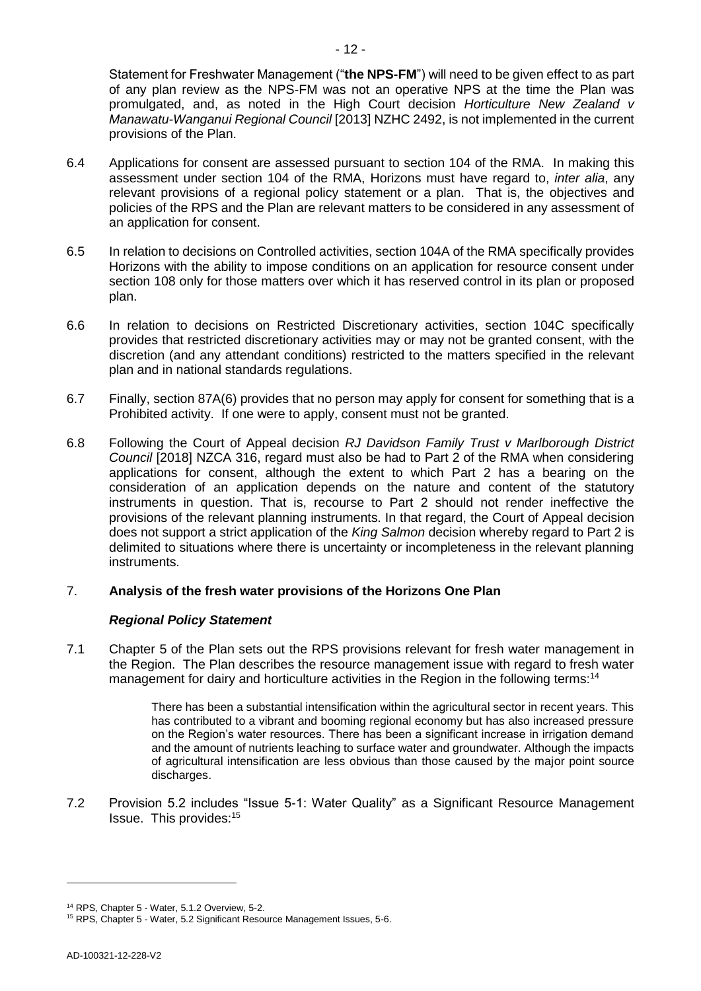Statement for Freshwater Management ("**the NPS-FM**") will need to be given effect to as part of any plan review as the NPS-FM was not an operative NPS at the time the Plan was promulgated, and, as noted in the High Court decision *Horticulture New Zealand v Manawatu-Wanganui Regional Council* [2013] NZHC 2492, is not implemented in the current provisions of the Plan.

- 6.4 Applications for consent are assessed pursuant to section 104 of the RMA. In making this assessment under section 104 of the RMA, Horizons must have regard to, *inter alia*, any relevant provisions of a regional policy statement or a plan. That is, the objectives and policies of the RPS and the Plan are relevant matters to be considered in any assessment of an application for consent.
- 6.5 In relation to decisions on Controlled activities, section 104A of the RMA specifically provides Horizons with the ability to impose conditions on an application for resource consent under section 108 only for those matters over which it has reserved control in its plan or proposed plan.
- 6.6 In relation to decisions on Restricted Discretionary activities, section 104C specifically provides that restricted discretionary activities may or may not be granted consent, with the discretion (and any attendant conditions) restricted to the matters specified in the relevant plan and in national standards regulations.
- 6.7 Finally, section 87A(6) provides that no person may apply for consent for something that is a Prohibited activity. If one were to apply, consent must not be granted.
- 6.8 Following the Court of Appeal decision *RJ Davidson Family Trust v Marlborough District Council* [2018] NZCA 316, regard must also be had to Part 2 of the RMA when considering applications for consent, although the extent to which Part 2 has a bearing on the consideration of an application depends on the nature and content of the statutory instruments in question. That is, recourse to Part 2 should not render ineffective the provisions of the relevant planning instruments. In that regard, the Court of Appeal decision does not support a strict application of the *King Salmon* decision whereby regard to Part 2 is delimited to situations where there is uncertainty or incompleteness in the relevant planning instruments.

# 7. **Analysis of the fresh water provisions of the Horizons One Plan**

# *Regional Policy Statement*

7.1 Chapter 5 of the Plan sets out the RPS provisions relevant for fresh water management in the Region. The Plan describes the resource management issue with regard to fresh water management for dairy and horticulture activities in the Region in the following terms:<sup>14</sup>

> There has been a substantial intensification within the agricultural sector in recent years. This has contributed to a vibrant and booming regional economy but has also increased pressure on the Region's water resources. There has been a significant increase in irrigation demand and the amount of nutrients leaching to surface water and groundwater. Although the impacts of agricultural intensification are less obvious than those caused by the major point source discharges.

7.2 Provision 5.2 includes "Issue 5-1: Water Quality" as a Significant Resource Management Issue. This provides:<sup>15</sup>

<sup>14</sup> RPS, Chapter 5 - Water, 5.1.2 Overview, 5-2.

<sup>15</sup> RPS, Chapter 5 - Water, 5.2 Significant Resource Management Issues, 5-6.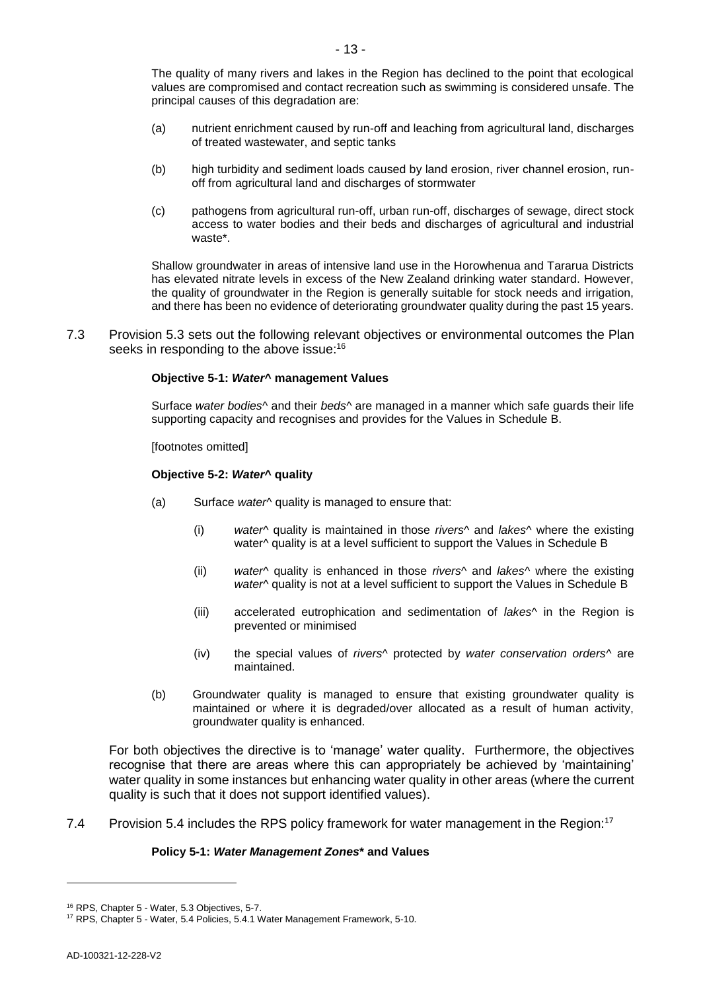- (a) nutrient enrichment caused by run-off and leaching from agricultural land, discharges of treated wastewater, and septic tanks
- (b) high turbidity and sediment loads caused by land erosion, river channel erosion, runoff from agricultural land and discharges of stormwater
- (c) pathogens from agricultural run-off, urban run-off, discharges of sewage, direct stock access to water bodies and their beds and discharges of agricultural and industrial waste\*.

Shallow groundwater in areas of intensive land use in the Horowhenua and Tararua Districts has elevated nitrate levels in excess of the New Zealand drinking water standard. However, the quality of groundwater in the Region is generally suitable for stock needs and irrigation, and there has been no evidence of deteriorating groundwater quality during the past 15 years.

7.3 Provision 5.3 sets out the following relevant objectives or environmental outcomes the Plan seeks in responding to the above issue:<sup>16</sup>

#### **Objective 5-1:** *Water***^ management Values**

Surface *water bodies*^ and their *beds*^ are managed in a manner which safe guards their life supporting capacity and recognises and provides for the Values in Schedule B.

#### [footnotes omitted]

#### **Objective 5-2:** *Water***^ quality**

- (a) Surface *water*^ quality is managed to ensure that:
	- (i) *water*^ quality is maintained in those *rivers*^ and *lakes*^ where the existing water^ quality is at a level sufficient to support the Values in Schedule B
	- (ii) *water*^ quality is enhanced in those *rivers*^ and *lakes*^ where the existing water<sup>^</sup> quality is not at a level sufficient to support the Values in Schedule B
	- (iii) accelerated eutrophication and sedimentation of *lakes*^ in the Region is prevented or minimised
	- (iv) the special values of *rivers*^ protected by *water conservation orders*^ are maintained.
- (b) Groundwater quality is managed to ensure that existing groundwater quality is maintained or where it is degraded/over allocated as a result of human activity, groundwater quality is enhanced.

For both objectives the directive is to 'manage' water quality. Furthermore, the objectives recognise that there are areas where this can appropriately be achieved by 'maintaining' water quality in some instances but enhancing water quality in other areas (where the current quality is such that it does not support identified values).

7.4 Provision 5.4 includes the RPS policy framework for water management in the Region:<sup>17</sup>

#### **Policy 5-1:** *Water Management Zones***\* and Values**

<sup>16</sup> RPS, Chapter 5 - Water, 5.3 Objectives, 5-7.

<sup>17</sup> RPS, Chapter 5 - Water, 5.4 Policies, 5.4.1 Water Management Framework, 5-10.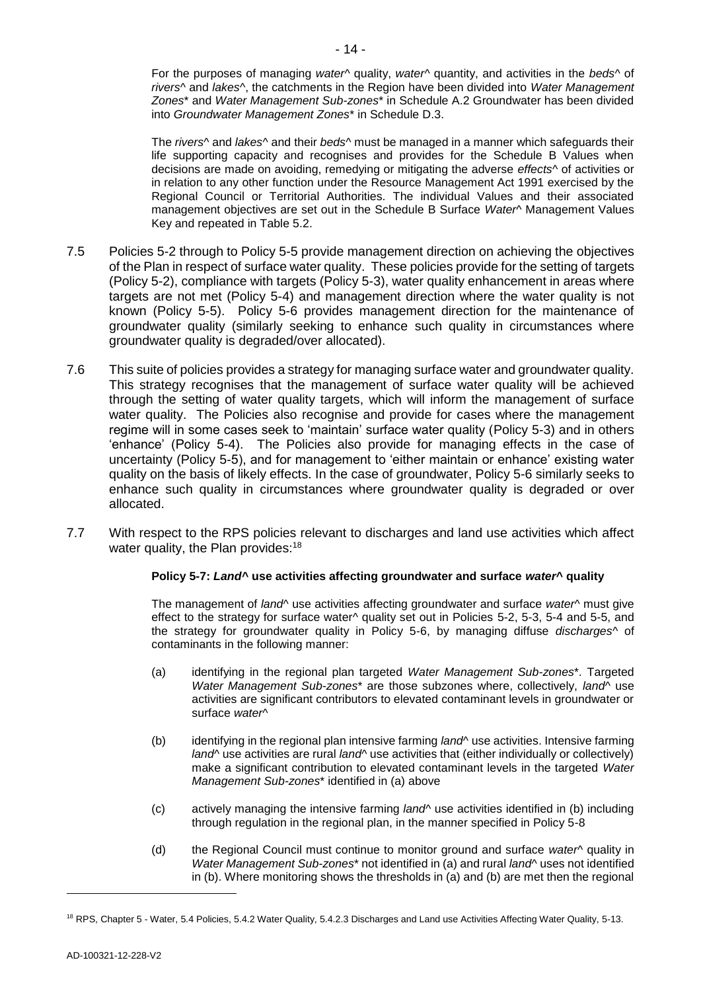For the purposes of managing *water*^ quality, *water*^ quantity, and activities in the *beds*^ of *rivers*^ and *lakes*^, the catchments in the Region have been divided into *Water Management Zones*\* and *Water Management Sub-zones*\* in Schedule A.2 Groundwater has been divided into *Groundwater Management Zones*\* in Schedule D.3.

The *rivers*^ and *lakes*^ and their *beds*^ must be managed in a manner which safeguards their life supporting capacity and recognises and provides for the Schedule B Values when decisions are made on avoiding, remedying or mitigating the adverse *effects*^ of activities or in relation to any other function under the Resource Management Act 1991 exercised by the Regional Council or Territorial Authorities. The individual Values and their associated management objectives are set out in the Schedule B Surface *Water*^ Management Values Key and repeated in Table 5.2.

- 7.5 Policies 5-2 through to Policy 5-5 provide management direction on achieving the objectives of the Plan in respect of surface water quality. These policies provide for the setting of targets (Policy 5-2), compliance with targets (Policy 5-3), water quality enhancement in areas where targets are not met (Policy 5-4) and management direction where the water quality is not known (Policy 5-5). Policy 5-6 provides management direction for the maintenance of groundwater quality (similarly seeking to enhance such quality in circumstances where groundwater quality is degraded/over allocated).
- 7.6 This suite of policies provides a strategy for managing surface water and groundwater quality. This strategy recognises that the management of surface water quality will be achieved through the setting of water quality targets, which will inform the management of surface water quality. The Policies also recognise and provide for cases where the management regime will in some cases seek to 'maintain' surface water quality (Policy 5-3) and in others 'enhance' (Policy 5-4). The Policies also provide for managing effects in the case of uncertainty (Policy 5-5), and for management to 'either maintain or enhance' existing water quality on the basis of likely effects. In the case of groundwater, Policy 5-6 similarly seeks to enhance such quality in circumstances where groundwater quality is degraded or over allocated.
- 7.7 With respect to the RPS policies relevant to discharges and land use activities which affect water quality, the Plan provides: $18$

### **Policy 5-7:** *Land***^ use activities affecting groundwater and surface** *water***^ quality**

The management of *land*^ use activities affecting groundwater and surface *water*^ must give effect to the strategy for surface water<sup>^</sup> quality set out in Policies 5-2, 5-3, 5-4 and 5-5, and the strategy for groundwater quality in Policy 5-6, by managing diffuse *discharges*^ of contaminants in the following manner:

- (a) identifying in the regional plan targeted *Water Management Sub-zones*\*. Targeted *Water Management Sub-zones*\* are those subzones where, collectively, *land*^ use activities are significant contributors to elevated contaminant levels in groundwater or surface *water*^
- (b) identifying in the regional plan intensive farming *land*^ use activities. Intensive farming *land*<sup>\*</sup> use activities are rural *land*<sup>\*</sup> use activities that (either individually or collectively) make a significant contribution to elevated contaminant levels in the targeted *Water Management Sub-zones*\* identified in (a) above
- (c) actively managing the intensive farming *land*^ use activities identified in (b) including through regulation in the regional plan, in the manner specified in Policy 5-8
- (d) the Regional Council must continue to monitor ground and surface *water^* quality in *Water Management Sub-zones*\* not identified in (a) and rural *land*^ uses not identified in (b). Where monitoring shows the thresholds in (a) and (b) are met then the regional

<sup>18</sup> RPS, Chapter 5 - Water, 5.4 Policies, 5.4.2 Water Quality, 5.4.2.3 Discharges and Land use Activities Affecting Water Quality, 5-13.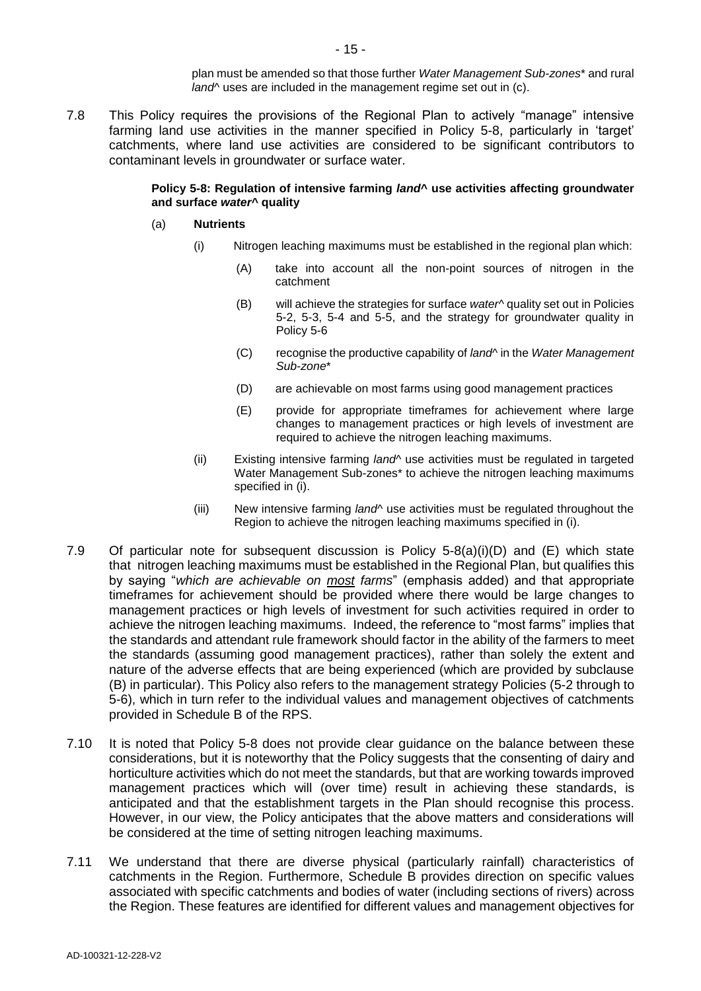plan must be amended so that those further *Water Management Sub-zones*\* and rural *land*^ uses are included in the management regime set out in (c).

7.8 This Policy requires the provisions of the Regional Plan to actively "manage" intensive farming land use activities in the manner specified in Policy 5-8, particularly in 'target' catchments, where land use activities are considered to be significant contributors to contaminant levels in groundwater or surface water.

#### **Policy 5-8: Regulation of intensive farming** *land***^ use activities affecting groundwater and surface** *water***^ quality**

- (a) **Nutrients** 
	- (i) Nitrogen leaching maximums must be established in the regional plan which:
		- (A) take into account all the non-point sources of nitrogen in the catchment
		- (B) will achieve the strategies for surface *water*^ quality set out in Policies 5-2, 5-3, 5-4 and 5-5, and the strategy for groundwater quality in Policy 5-6
		- (C) recognise the productive capability of *land*^ in the *Water Management Sub-zone*\*
		- (D) are achievable on most farms using good management practices
		- (E) provide for appropriate timeframes for achievement where large changes to management practices or high levels of investment are required to achieve the nitrogen leaching maximums.
	- (ii) Existing intensive farming *land*^ use activities must be regulated in targeted Water Management Sub-zones\* to achieve the nitrogen leaching maximums specified in (i).
	- (iii) New intensive farming *land*^ use activities must be regulated throughout the Region to achieve the nitrogen leaching maximums specified in (i).
- 7.9 Of particular note for subsequent discussion is Policy 5-8(a)(i)(D) and (E) which state that nitrogen leaching maximums must be established in the Regional Plan, but qualifies this by saying "*which are achievable on most farms*" (emphasis added) and that appropriate timeframes for achievement should be provided where there would be large changes to management practices or high levels of investment for such activities required in order to achieve the nitrogen leaching maximums. Indeed, the reference to "most farms" implies that the standards and attendant rule framework should factor in the ability of the farmers to meet the standards (assuming good management practices), rather than solely the extent and nature of the adverse effects that are being experienced (which are provided by subclause (B) in particular). This Policy also refers to the management strategy Policies (5-2 through to 5-6), which in turn refer to the individual values and management objectives of catchments provided in Schedule B of the RPS.
- 7.10 It is noted that Policy 5-8 does not provide clear guidance on the balance between these considerations, but it is noteworthy that the Policy suggests that the consenting of dairy and horticulture activities which do not meet the standards, but that are working towards improved management practices which will (over time) result in achieving these standards, is anticipated and that the establishment targets in the Plan should recognise this process. However, in our view, the Policy anticipates that the above matters and considerations will be considered at the time of setting nitrogen leaching maximums.
- 7.11 We understand that there are diverse physical (particularly rainfall) characteristics of catchments in the Region. Furthermore, Schedule B provides direction on specific values associated with specific catchments and bodies of water (including sections of rivers) across the Region. These features are identified for different values and management objectives for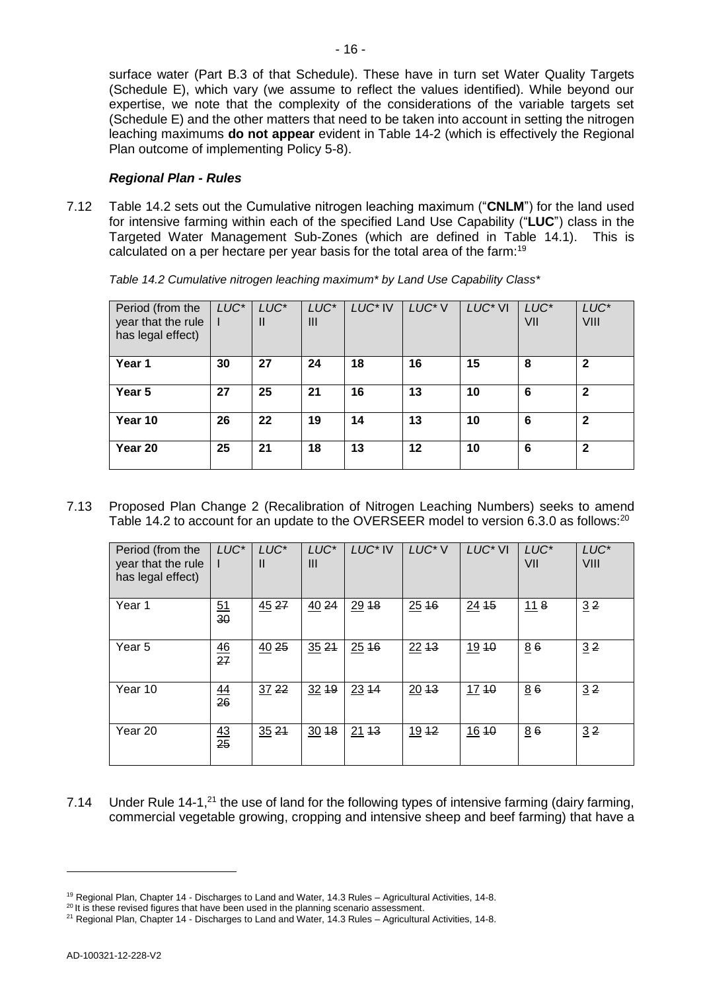surface water (Part B.3 of that Schedule). These have in turn set Water Quality Targets (Schedule E), which vary (we assume to reflect the values identified). While beyond our expertise, we note that the complexity of the considerations of the variable targets set (Schedule E) and the other matters that need to be taken into account in setting the nitrogen leaching maximums **do not appear** evident in Table 14-2 (which is effectively the Regional Plan outcome of implementing Policy 5-8).

## *Regional Plan - Rules*

7.12 Table 14.2 sets out the Cumulative nitrogen leaching maximum ("**CNLM**") for the land used for intensive farming within each of the specified Land Use Capability ("**LUC**") class in the Targeted Water Management Sub-Zones (which are defined in Table 14.1). This is calculated on a per hectare per year basis for the total area of the farm:<sup>19</sup>

| Period (from the<br>year that the rule<br>has legal effect) | LUC <sup>*</sup> | LUC*<br>Ш | LUC*<br>Ш | LUC <sup>*</sup> IV | LUC <sup>*</sup> V | LUC <sup>*</sup> VI | LUC*<br>VII | LUC*<br>VIII |
|-------------------------------------------------------------|------------------|-----------|-----------|---------------------|--------------------|---------------------|-------------|--------------|
| Year 1                                                      | 30               | 27        | 24        | 18                  | 16                 | 15                  | 8           | $\mathbf{2}$ |
| Year 5                                                      | 27               | 25        | 21        | 16                  | 13                 | 10                  | 6           | $\mathbf{2}$ |
| Year 10                                                     | 26               | 22        | 19        | 14                  | 13                 | 10                  | 6           | $\mathbf{2}$ |
| Year 20                                                     | 25               | 21        | 18        | 13                  | $12 \,$            | 10                  | 6           | $\mathbf{2}$ |

7.13 Proposed Plan Change 2 (Recalibration of Nitrogen Leaching Numbers) seeks to amend Table 14.2 to account for an update to the OVERSEER model to version 6.3.0 as follows:<sup>20</sup>

| Period (from the<br>year that the rule<br>has legal effect) | LUC <sup>*</sup> | LUC*<br>Ш | LUC*<br>Ш | LUC <sup>*</sup> IV | LUC <sup>*</sup> V | LUC <sup>*</sup> VI | LUC*<br>VII | LUC*<br>VIII |
|-------------------------------------------------------------|------------------|-----------|-----------|---------------------|--------------------|---------------------|-------------|--------------|
| Year 1                                                      | $\frac{51}{30}$  | 4527      | 4024      | 2918                | 2516               | 24.15               | 118         | 32           |
| Year 5                                                      | $\frac{46}{27}$  | 4025      | 3521      | 2516                | 2213               | 1910                | 86          | 32           |
| Year 10                                                     | $\frac{44}{26}$  | 3722      | $32 + 9$  | $23 + 4$            | 2013               | 17.40               | 86          | 32           |
| Year 20                                                     | $\frac{43}{25}$  | 3521      | $30 + 8$  | 2113                | 1912               | 1610                | 86          | 32           |

7.14 Under Rule 14-1, $^{21}$  the use of land for the following types of intensive farming (dairy farming, commercial vegetable growing, cropping and intensive sheep and beef farming) that have a

<sup>19</sup> Regional Plan, Chapter 14 - Discharges to Land and Water, 14.3 Rules – Agricultural Activities, 14-8.

<sup>&</sup>lt;sup>20</sup> It is these revised figures that have been used in the planning scenario assessment.

<sup>&</sup>lt;sup>21</sup> Regional Plan, Chapter 14 - Discharges to Land and Water, 14.3 Rules – Agricultural Activities, 14-8.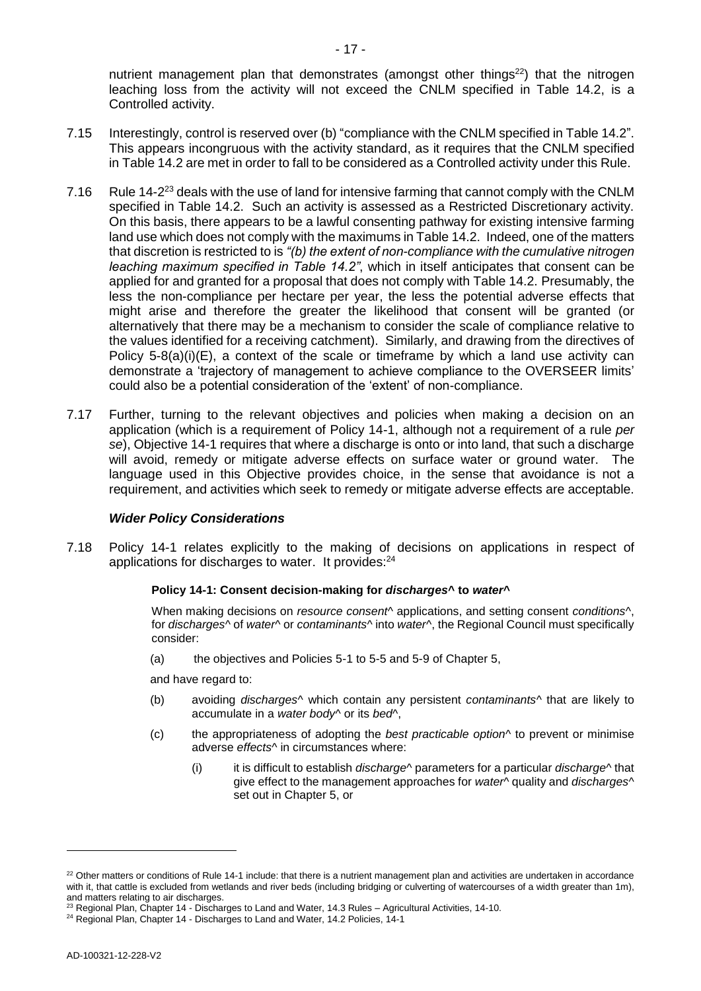nutrient management plan that demonstrates (amongst other things<sup>22</sup>) that the nitrogen leaching loss from the activity will not exceed the CNLM specified in Table 14.2, is a Controlled activity.

- 7.15 Interestingly, control is reserved over (b) "compliance with the CNLM specified in Table 14.2". This appears incongruous with the activity standard, as it requires that the CNLM specified in Table 14.2 are met in order to fall to be considered as a Controlled activity under this Rule.
- 7.16 Rule 14-2<sup>23</sup> deals with the use of land for intensive farming that cannot comply with the CNLM specified in Table 14.2. Such an activity is assessed as a Restricted Discretionary activity. On this basis, there appears to be a lawful consenting pathway for existing intensive farming land use which does not comply with the maximums in Table 14.2. Indeed, one of the matters that discretion is restricted to is *"(b) the extent of non-compliance with the cumulative nitrogen leaching maximum specified in Table 14.2"*, which in itself anticipates that consent can be applied for and granted for a proposal that does not comply with Table 14.2. Presumably, the less the non-compliance per hectare per year, the less the potential adverse effects that might arise and therefore the greater the likelihood that consent will be granted (or alternatively that there may be a mechanism to consider the scale of compliance relative to the values identified for a receiving catchment). Similarly, and drawing from the directives of Policy  $5-8(a)(i)(E)$ , a context of the scale or timeframe by which a land use activity can demonstrate a 'trajectory of management to achieve compliance to the OVERSEER limits' could also be a potential consideration of the 'extent' of non-compliance.
- 7.17 Further, turning to the relevant objectives and policies when making a decision on an application (which is a requirement of Policy 14-1, although not a requirement of a rule *per se*), Objective 14-1 requires that where a discharge is onto or into land, that such a discharge will avoid, remedy or mitigate adverse effects on surface water or ground water. The language used in this Objective provides choice, in the sense that avoidance is not a requirement, and activities which seek to remedy or mitigate adverse effects are acceptable.

### *Wider Policy Considerations*

7.18 Policy 14-1 relates explicitly to the making of decisions on applications in respect of applications for discharges to water. It provides:<sup>24</sup>

### **Policy 14-1: Consent decision-making for** *discharges***^ to** *water***^**

When making decisions on *resource consent*^ applications, and setting consent *conditions*^, for *discharges*^ of *water*^ or *contaminants*^ into *water*^, the Regional Council must specifically consider:

(a) the objectives and Policies 5-1 to 5-5 and 5-9 of Chapter 5,

and have regard to:

- (b) avoiding *discharges*^ which contain any persistent *contaminants*^ that are likely to accumulate in a *water body*^ or its *bed*^,
- (c) the appropriateness of adopting the *best practicable option*^ to prevent or minimise adverse *effects*^ in circumstances where:
	- (i) it is difficult to establish *discharge*^ parameters for a particular *discharge*^ that give effect to the management approaches for *water*^ quality and *discharges*^ set out in Chapter 5, or

 $22$  Other matters or conditions of Rule 14-1 include: that there is a nutrient management plan and activities are undertaken in accordance with it, that cattle is excluded from wetlands and river beds (including bridging or culverting of watercourses of a width greater than 1m), and matters relating to air discharges.

 $23$  Regional Plan, Chapter 14 - Discharges to Land and Water, 14.3 Rules – Agricultural Activities, 14-10.

<sup>&</sup>lt;sup>24</sup> Regional Plan, Chapter 14 - Discharges to Land and Water, 14.2 Policies, 14-1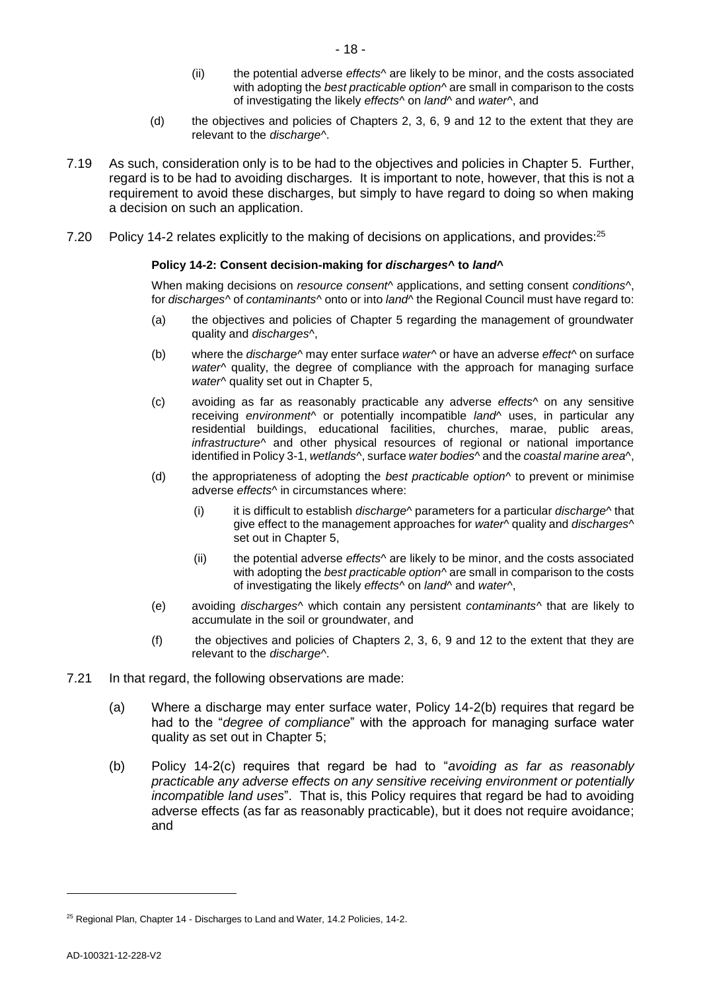- (ii) the potential adverse *effects*^ are likely to be minor, and the costs associated with adopting the *best practicable option*^ are small in comparison to the costs of investigating the likely *effects*^ on *land*^ and *water*^, and
- (d) the objectives and policies of Chapters 2, 3, 6, 9 and 12 to the extent that they are relevant to the *discharge*^.
- 7.19 As such, consideration only is to be had to the objectives and policies in Chapter 5. Further, regard is to be had to avoiding discharges. It is important to note, however, that this is not a requirement to avoid these discharges, but simply to have regard to doing so when making a decision on such an application.
- 7.20 Policy 14-2 relates explicitly to the making of decisions on applications, and provides:<sup>25</sup>

#### **Policy 14-2: Consent decision-making for** *discharges***^ to** *land***^**

When making decisions on *resource consent*^ applications, and setting consent *conditions*^, for *discharges*^ of *contaminants*^ onto or into *land*^ the Regional Council must have regard to:

- (a) the objectives and policies of Chapter 5 regarding the management of groundwater quality and *discharges*^,
- (b) where the *discharge*^ may enter surface *water*^ or have an adverse *effect*^ on surface *water*^ quality, the degree of compliance with the approach for managing surface *water*^ quality set out in Chapter 5,
- (c) avoiding as far as reasonably practicable any adverse *effects*^ on any sensitive receiving *environment*^ or potentially incompatible *land*^ uses, in particular any residential buildings, educational facilities, churches, marae, public areas, *infrastructure*^ and other physical resources of regional or national importance identified in Policy 3-1, *wetlands*^, surface *water bodies*^ and the *coastal marine area*^,
- (d) the appropriateness of adopting the *best practicable option*^ to prevent or minimise adverse *effects*^ in circumstances where:
	- (i) it is difficult to establish *discharge*^ parameters for a particular *discharge*^ that give effect to the management approaches for *water*^ quality and *discharges*^ set out in Chapter 5,
	- (ii) the potential adverse *effects*^ are likely to be minor, and the costs associated with adopting the *best practicable option*^ are small in comparison to the costs of investigating the likely *effects*^ on *land*^ and *water*^,
- (e) avoiding *discharges*^ which contain any persistent *contaminants*^ that are likely to accumulate in the soil or groundwater, and
- (f) the objectives and policies of Chapters 2, 3, 6, 9 and 12 to the extent that they are relevant to the *discharge*^.
- 7.21 In that regard, the following observations are made:
	- (a) Where a discharge may enter surface water, Policy 14-2(b) requires that regard be had to the "*degree of compliance*" with the approach for managing surface water quality as set out in Chapter 5;
	- (b) Policy 14-2(c) requires that regard be had to "*avoiding as far as reasonably practicable any adverse effects on any sensitive receiving environment or potentially incompatible land uses*". That is, this Policy requires that regard be had to avoiding adverse effects (as far as reasonably practicable), but it does not require avoidance; and

<sup>&</sup>lt;sup>25</sup> Regional Plan, Chapter 14 - Discharges to Land and Water, 14.2 Policies, 14-2.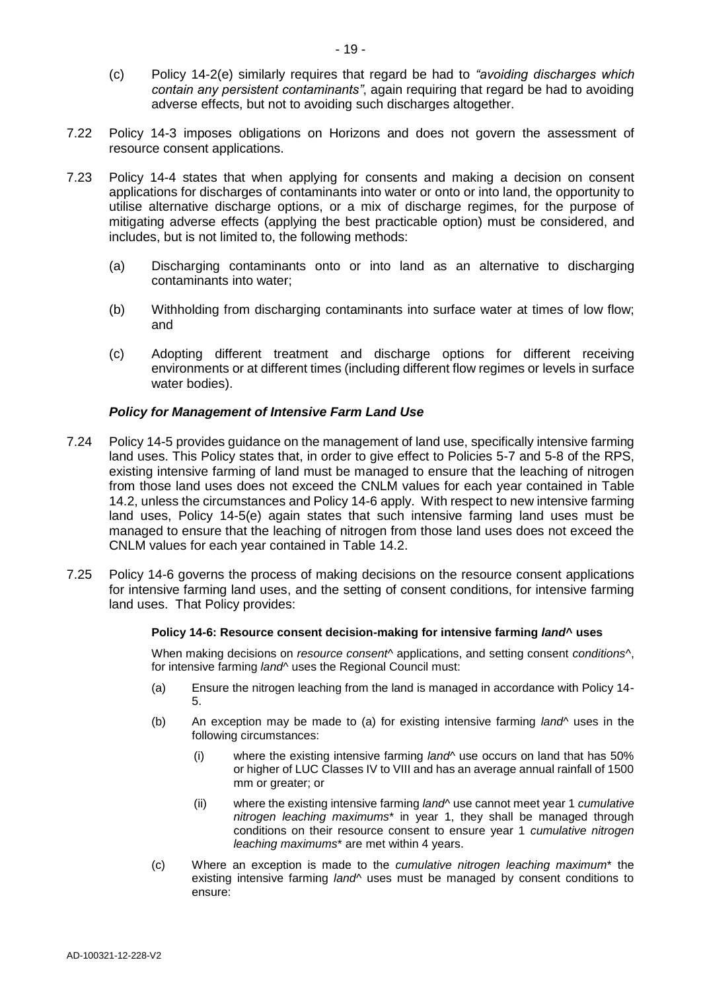- (c) Policy 14-2(e) similarly requires that regard be had to *"avoiding discharges which contain any persistent contaminants"*, again requiring that regard be had to avoiding adverse effects, but not to avoiding such discharges altogether.
- 7.22 Policy 14-3 imposes obligations on Horizons and does not govern the assessment of resource consent applications.
- 7.23 Policy 14-4 states that when applying for consents and making a decision on consent applications for discharges of contaminants into water or onto or into land, the opportunity to utilise alternative discharge options, or a mix of discharge regimes, for the purpose of mitigating adverse effects (applying the best practicable option) must be considered, and includes, but is not limited to, the following methods:
	- (a) Discharging contaminants onto or into land as an alternative to discharging contaminants into water;
	- (b) Withholding from discharging contaminants into surface water at times of low flow; and
	- (c) Adopting different treatment and discharge options for different receiving environments or at different times (including different flow regimes or levels in surface water bodies).

## *Policy for Management of Intensive Farm Land Use*

- 7.24 Policy 14-5 provides guidance on the management of land use, specifically intensive farming land uses. This Policy states that, in order to give effect to Policies 5-7 and 5-8 of the RPS, existing intensive farming of land must be managed to ensure that the leaching of nitrogen from those land uses does not exceed the CNLM values for each year contained in Table 14.2, unless the circumstances and Policy 14-6 apply. With respect to new intensive farming land uses, Policy 14-5(e) again states that such intensive farming land uses must be managed to ensure that the leaching of nitrogen from those land uses does not exceed the CNLM values for each year contained in Table 14.2.
- 7.25 Policy 14-6 governs the process of making decisions on the resource consent applications for intensive farming land uses, and the setting of consent conditions, for intensive farming land uses. That Policy provides:

#### **Policy 14-6: Resource consent decision-making for intensive farming** *land***^ uses**

When making decisions on *resource consent*^ applications, and setting consent *conditions*^, for intensive farming *land*^ uses the Regional Council must:

- (a) Ensure the nitrogen leaching from the land is managed in accordance with Policy 14- 5.
- (b) An exception may be made to (a) for existing intensive farming *land*^ uses in the following circumstances:
	- (i) where the existing intensive farming *land*^ use occurs on land that has 50% or higher of LUC Classes IV to VIII and has an average annual rainfall of 1500 mm or greater; or
	- (ii) where the existing intensive farming *land*^ use cannot meet year 1 *cumulative nitrogen leaching maximums*\* in year 1, they shall be managed through conditions on their resource consent to ensure year 1 *cumulative nitrogen leaching maximums*\* are met within 4 years.
- (c) Where an exception is made to the *cumulative nitrogen leaching maximum*\* the existing intensive farming *land*^ uses must be managed by consent conditions to ensure: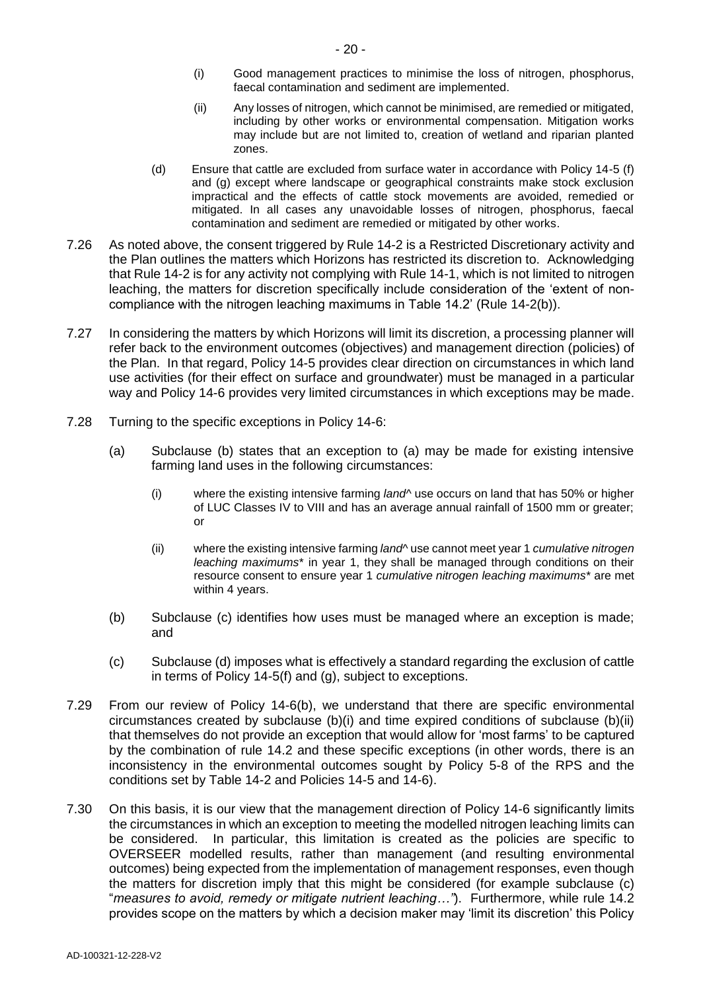- (i) Good management practices to minimise the loss of nitrogen, phosphorus, faecal contamination and sediment are implemented.
- (ii) Any losses of nitrogen, which cannot be minimised, are remedied or mitigated, including by other works or environmental compensation. Mitigation works may include but are not limited to, creation of wetland and riparian planted zones.
- (d) Ensure that cattle are excluded from surface water in accordance with Policy 14-5 (f) and (g) except where landscape or geographical constraints make stock exclusion impractical and the effects of cattle stock movements are avoided, remedied or mitigated. In all cases any unavoidable losses of nitrogen, phosphorus, faecal contamination and sediment are remedied or mitigated by other works.
- 7.26 As noted above, the consent triggered by Rule 14-2 is a Restricted Discretionary activity and the Plan outlines the matters which Horizons has restricted its discretion to. Acknowledging that Rule 14-2 is for any activity not complying with Rule 14-1, which is not limited to nitrogen leaching, the matters for discretion specifically include consideration of the 'extent of noncompliance with the nitrogen leaching maximums in Table 14.2' (Rule 14-2(b)).
- 7.27 In considering the matters by which Horizons will limit its discretion, a processing planner will refer back to the environment outcomes (objectives) and management direction (policies) of the Plan. In that regard, Policy 14-5 provides clear direction on circumstances in which land use activities (for their effect on surface and groundwater) must be managed in a particular way and Policy 14-6 provides very limited circumstances in which exceptions may be made.
- 7.28 Turning to the specific exceptions in Policy 14-6:
	- (a) Subclause (b) states that an exception to (a) may be made for existing intensive farming land uses in the following circumstances:
		- (i) where the existing intensive farming *land*^ use occurs on land that has 50% or higher of LUC Classes IV to VIII and has an average annual rainfall of 1500 mm or greater; or
		- (ii) where the existing intensive farming *land*^ use cannot meet year 1 *cumulative nitrogen leaching maximums*\* in year 1, they shall be managed through conditions on their resource consent to ensure year 1 *cumulative nitrogen leaching maximums*\* are met within 4 years.
	- (b) Subclause (c) identifies how uses must be managed where an exception is made; and
	- (c) Subclause (d) imposes what is effectively a standard regarding the exclusion of cattle in terms of Policy 14-5(f) and (g), subject to exceptions.
- 7.29 From our review of Policy 14-6(b), we understand that there are specific environmental circumstances created by subclause (b)(i) and time expired conditions of subclause (b)(ii) that themselves do not provide an exception that would allow for 'most farms' to be captured by the combination of rule 14.2 and these specific exceptions (in other words, there is an inconsistency in the environmental outcomes sought by Policy 5-8 of the RPS and the conditions set by Table 14-2 and Policies 14-5 and 14-6).
- 7.30 On this basis, it is our view that the management direction of Policy 14-6 significantly limits the circumstances in which an exception to meeting the modelled nitrogen leaching limits can be considered. In particular, this limitation is created as the policies are specific to OVERSEER modelled results, rather than management (and resulting environmental outcomes) being expected from the implementation of management responses, even though the matters for discretion imply that this might be considered (for example subclause (c) "*measures to avoid, remedy or mitigate nutrient leaching…"*). Furthermore, while rule 14.2 provides scope on the matters by which a decision maker may 'limit its discretion' this Policy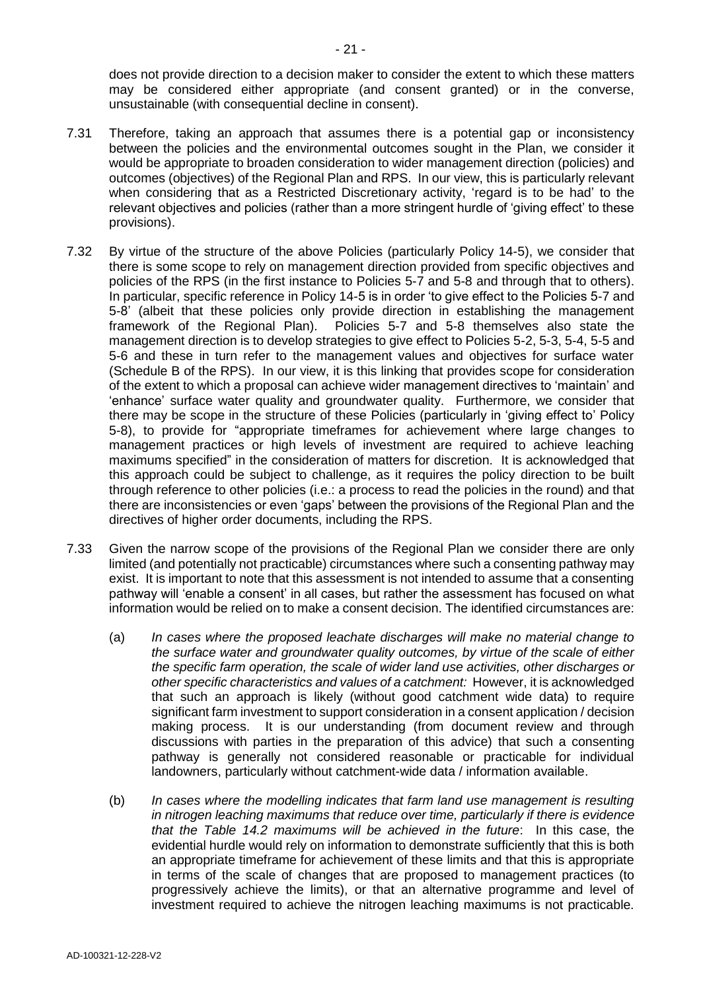does not provide direction to a decision maker to consider the extent to which these matters may be considered either appropriate (and consent granted) or in the converse, unsustainable (with consequential decline in consent).

- 7.31 Therefore, taking an approach that assumes there is a potential gap or inconsistency between the policies and the environmental outcomes sought in the Plan, we consider it would be appropriate to broaden consideration to wider management direction (policies) and outcomes (objectives) of the Regional Plan and RPS. In our view, this is particularly relevant when considering that as a Restricted Discretionary activity, 'regard is to be had' to the relevant objectives and policies (rather than a more stringent hurdle of 'giving effect' to these provisions).
- 7.32 By virtue of the structure of the above Policies (particularly Policy 14-5), we consider that there is some scope to rely on management direction provided from specific objectives and policies of the RPS (in the first instance to Policies 5-7 and 5-8 and through that to others). In particular, specific reference in Policy 14-5 is in order 'to give effect to the Policies 5-7 and 5-8' (albeit that these policies only provide direction in establishing the management framework of the Regional Plan). Policies 5-7 and 5-8 themselves also state the management direction is to develop strategies to give effect to Policies 5-2, 5-3, 5-4, 5-5 and 5-6 and these in turn refer to the management values and objectives for surface water (Schedule B of the RPS). In our view, it is this linking that provides scope for consideration of the extent to which a proposal can achieve wider management directives to 'maintain' and 'enhance' surface water quality and groundwater quality. Furthermore, we consider that there may be scope in the structure of these Policies (particularly in 'giving effect to' Policy 5-8), to provide for "appropriate timeframes for achievement where large changes to management practices or high levels of investment are required to achieve leaching maximums specified" in the consideration of matters for discretion. It is acknowledged that this approach could be subject to challenge, as it requires the policy direction to be built through reference to other policies (i.e.: a process to read the policies in the round) and that there are inconsistencies or even 'gaps' between the provisions of the Regional Plan and the directives of higher order documents, including the RPS.
- 7.33 Given the narrow scope of the provisions of the Regional Plan we consider there are only limited (and potentially not practicable) circumstances where such a consenting pathway may exist. It is important to note that this assessment is not intended to assume that a consenting pathway will 'enable a consent' in all cases, but rather the assessment has focused on what information would be relied on to make a consent decision. The identified circumstances are:
	- (a) *In cases where the proposed leachate discharges will make no material change to the surface water and groundwater quality outcomes, by virtue of the scale of either the specific farm operation, the scale of wider land use activities, other discharges or other specific characteristics and values of a catchment:* However, it is acknowledged that such an approach is likely (without good catchment wide data) to require significant farm investment to support consideration in a consent application / decision making process. It is our understanding (from document review and through discussions with parties in the preparation of this advice) that such a consenting pathway is generally not considered reasonable or practicable for individual landowners, particularly without catchment-wide data / information available.
	- (b) *In cases where the modelling indicates that farm land use management is resulting in nitrogen leaching maximums that reduce over time, particularly if there is evidence that the Table 14.2 maximums will be achieved in the future*: In this case, the evidential hurdle would rely on information to demonstrate sufficiently that this is both an appropriate timeframe for achievement of these limits and that this is appropriate in terms of the scale of changes that are proposed to management practices (to progressively achieve the limits), or that an alternative programme and level of investment required to achieve the nitrogen leaching maximums is not practicable.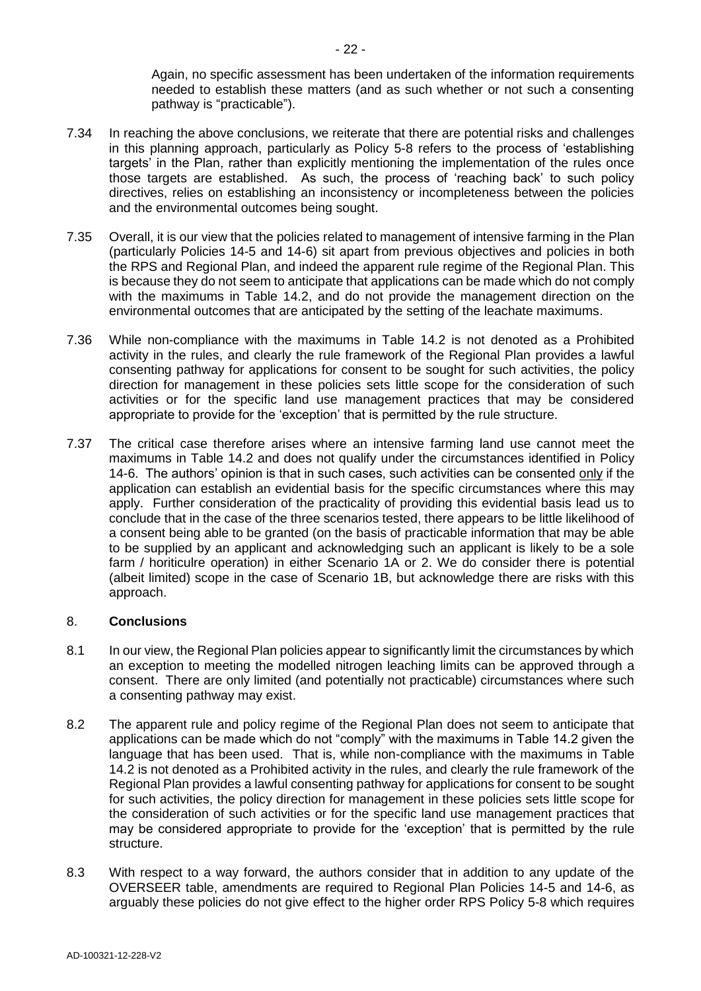Again, no specific assessment has been undertaken of the information requirements needed to establish these matters (and as such whether or not such a consenting pathway is "practicable").

- 7.34 In reaching the above conclusions, we reiterate that there are potential risks and challenges in this planning approach, particularly as Policy 5-8 refers to the process of 'establishing targets' in the Plan, rather than explicitly mentioning the implementation of the rules once those targets are established. As such, the process of 'reaching back' to such policy directives, relies on establishing an inconsistency or incompleteness between the policies and the environmental outcomes being sought.
- 7.35 Overall, it is our view that the policies related to management of intensive farming in the Plan (particularly Policies 14-5 and 14-6) sit apart from previous objectives and policies in both the RPS and Regional Plan, and indeed the apparent rule regime of the Regional Plan. This is because they do not seem to anticipate that applications can be made which do not comply with the maximums in Table 14.2, and do not provide the management direction on the environmental outcomes that are anticipated by the setting of the leachate maximums.
- 7.36 While non-compliance with the maximums in Table 14.2 is not denoted as a Prohibited activity in the rules, and clearly the rule framework of the Regional Plan provides a lawful consenting pathway for applications for consent to be sought for such activities, the policy direction for management in these policies sets little scope for the consideration of such activities or for the specific land use management practices that may be considered appropriate to provide for the 'exception' that is permitted by the rule structure.
- 7.37 The critical case therefore arises where an intensive farming land use cannot meet the maximums in Table 14.2 and does not qualify under the circumstances identified in Policy 14-6. The authors' opinion is that in such cases, such activities can be consented only if the application can establish an evidential basis for the specific circumstances where this may apply. Further consideration of the practicality of providing this evidential basis lead us to conclude that in the case of the three scenarios tested, there appears to be little likelihood of a consent being able to be granted (on the basis of practicable information that may be able to be supplied by an applicant and acknowledging such an applicant is likely to be a sole farm / horiticulre operation) in either Scenario 1A or 2. We do consider there is potential (albeit limited) scope in the case of Scenario 1B, but acknowledge there are risks with this approach.

### 8. **Conclusions**

- 8.1 In our view, the Regional Plan policies appear to significantly limit the circumstances by which an exception to meeting the modelled nitrogen leaching limits can be approved through a consent. There are only limited (and potentially not practicable) circumstances where such a consenting pathway may exist.
- 8.2 The apparent rule and policy regime of the Regional Plan does not seem to anticipate that applications can be made which do not "comply" with the maximums in Table 14.2 given the language that has been used. That is, while non-compliance with the maximums in Table 14.2 is not denoted as a Prohibited activity in the rules, and clearly the rule framework of the Regional Plan provides a lawful consenting pathway for applications for consent to be sought for such activities, the policy direction for management in these policies sets little scope for the consideration of such activities or for the specific land use management practices that may be considered appropriate to provide for the 'exception' that is permitted by the rule structure.
- 8.3 With respect to a way forward, the authors consider that in addition to any update of the OVERSEER table, amendments are required to Regional Plan Policies 14-5 and 14-6, as arguably these policies do not give effect to the higher order RPS Policy 5-8 which requires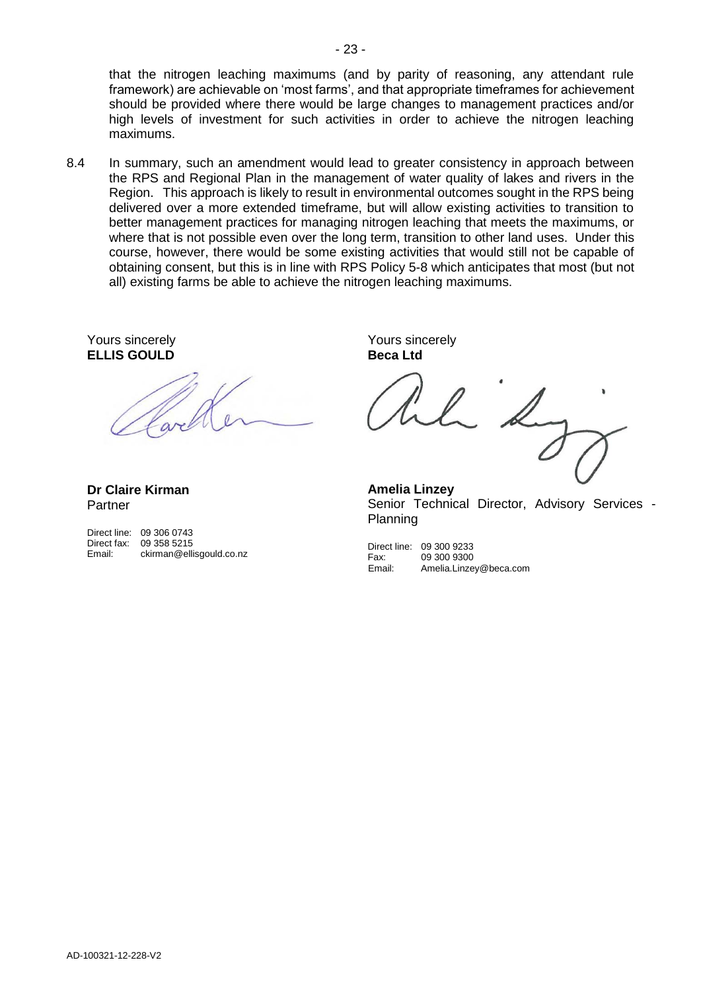that the nitrogen leaching maximums (and by parity of reasoning, any attendant rule framework) are achievable on 'most farms', and that appropriate timeframes for achievement should be provided where there would be large changes to management practices and/or high levels of investment for such activities in order to achieve the nitrogen leaching maximums.

8.4 In summary, such an amendment would lead to greater consistency in approach between the RPS and Regional Plan in the management of water quality of lakes and rivers in the Region. This approach is likely to result in environmental outcomes sought in the RPS being delivered over a more extended timeframe, but will allow existing activities to transition to better management practices for managing nitrogen leaching that meets the maximums, or where that is not possible even over the long term, transition to other land uses. Under this course, however, there would be some existing activities that would still not be capable of obtaining consent, but this is in line with RPS Policy 5-8 which anticipates that most (but not all) existing farms be able to achieve the nitrogen leaching maximums.

Yours sincerely **ELLIS GOULD**

Yours sincerely **Beca Ltd**

**Dr Claire Kirman** Partner

|             | Direct line: 09 306 0743 |
|-------------|--------------------------|
| Direct fax: | 09 358 5215              |
| Email:      | ckirman@ellisgould.co.nz |

**Amelia Linzey** Senior Technical Director, Advisory Services - Planning

Direct line: 09 300 9233 Fax: 09 300 9300<br>
Email: Amelia.Linze Amelia.Linzey@beca.com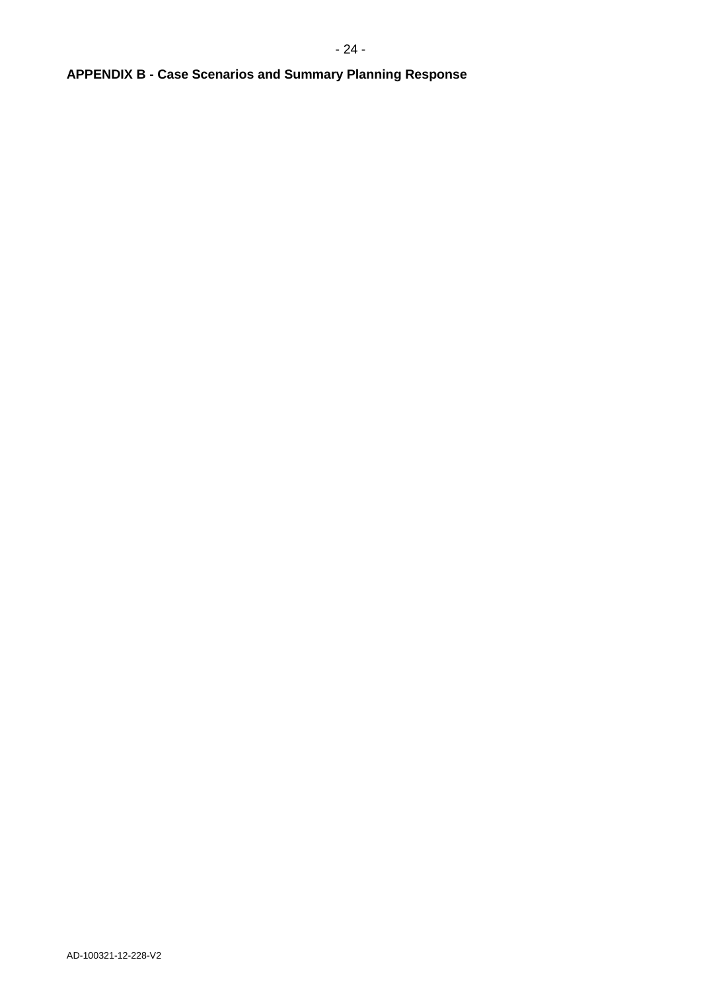# **APPENDIX B - Case Scenarios and Summary Planning Response**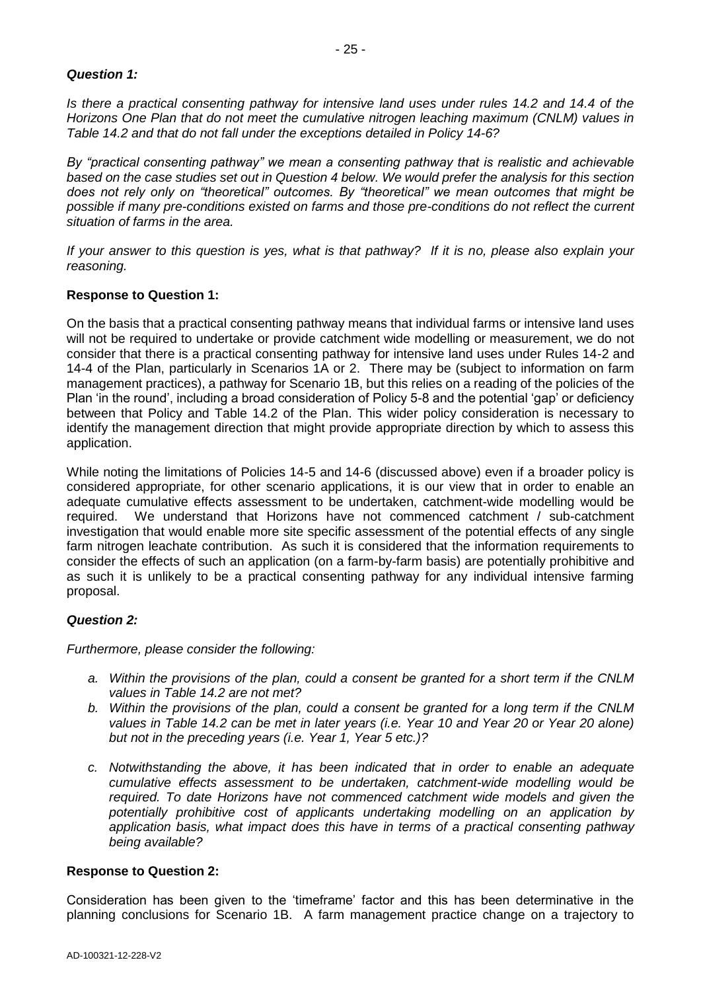## *Question 1:*

*Is there a practical consenting pathway for intensive land uses under rules 14.2 and 14.4 of the Horizons One Plan that do not meet the cumulative nitrogen leaching maximum (CNLM) values in Table 14.2 and that do not fall under the exceptions detailed in Policy 14-6?* 

*By "practical consenting pathway" we mean a consenting pathway that is realistic and achievable based on the case studies set out in Question 4 below. We would prefer the analysis for this section does not rely only on "theoretical" outcomes. By "theoretical" we mean outcomes that might be possible if many pre-conditions existed on farms and those pre-conditions do not reflect the current situation of farms in the area.* 

*If your answer to this question is yes, what is that pathway? If it is no, please also explain your reasoning.*

## **Response to Question 1:**

On the basis that a practical consenting pathway means that individual farms or intensive land uses will not be required to undertake or provide catchment wide modelling or measurement, we do not consider that there is a practical consenting pathway for intensive land uses under Rules 14-2 and 14-4 of the Plan, particularly in Scenarios 1A or 2. There may be (subject to information on farm management practices), a pathway for Scenario 1B, but this relies on a reading of the policies of the Plan 'in the round', including a broad consideration of Policy 5-8 and the potential 'gap' or deficiency between that Policy and Table 14.2 of the Plan. This wider policy consideration is necessary to identify the management direction that might provide appropriate direction by which to assess this application.

While noting the limitations of Policies 14-5 and 14-6 (discussed above) even if a broader policy is considered appropriate, for other scenario applications, it is our view that in order to enable an adequate cumulative effects assessment to be undertaken, catchment-wide modelling would be required. We understand that Horizons have not commenced catchment / sub-catchment investigation that would enable more site specific assessment of the potential effects of any single farm nitrogen leachate contribution. As such it is considered that the information requirements to consider the effects of such an application (on a farm-by-farm basis) are potentially prohibitive and as such it is unlikely to be a practical consenting pathway for any individual intensive farming proposal.

### *Question 2:*

*Furthermore, please consider the following:*

- *a. Within the provisions of the plan, could a consent be granted for a short term if the CNLM values in Table 14.2 are not met?*
- *b. Within the provisions of the plan, could a consent be granted for a long term if the CNLM values in Table 14.2 can be met in later years (i.e. Year 10 and Year 20 or Year 20 alone) but not in the preceding years (i.e. Year 1, Year 5 etc.)?*
- *c. Notwithstanding the above, it has been indicated that in order to enable an adequate cumulative effects assessment to be undertaken, catchment-wide modelling would be required. To date Horizons have not commenced catchment wide models and given the potentially prohibitive cost of applicants undertaking modelling on an application by application basis, what impact does this have in terms of a practical consenting pathway being available?*

### **Response to Question 2:**

Consideration has been given to the 'timeframe' factor and this has been determinative in the planning conclusions for Scenario 1B. A farm management practice change on a trajectory to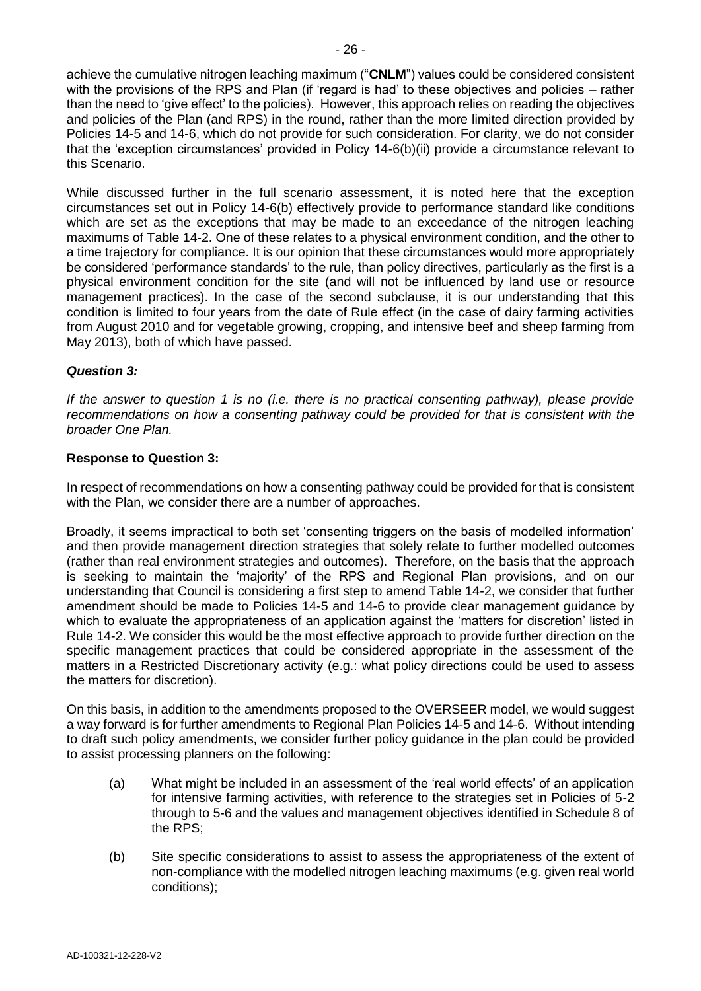achieve the cumulative nitrogen leaching maximum ("**CNLM**") values could be considered consistent with the provisions of the RPS and Plan (if 'regard is had' to these objectives and policies – rather than the need to 'give effect' to the policies). However, this approach relies on reading the objectives and policies of the Plan (and RPS) in the round, rather than the more limited direction provided by Policies 14-5 and 14-6, which do not provide for such consideration. For clarity, we do not consider that the 'exception circumstances' provided in Policy 14-6(b)(ii) provide a circumstance relevant to this Scenario.

While discussed further in the full scenario assessment, it is noted here that the exception circumstances set out in Policy 14-6(b) effectively provide to performance standard like conditions which are set as the exceptions that may be made to an exceedance of the nitrogen leaching maximums of Table 14-2. One of these relates to a physical environment condition, and the other to a time trajectory for compliance. It is our opinion that these circumstances would more appropriately be considered 'performance standards' to the rule, than policy directives, particularly as the first is a physical environment condition for the site (and will not be influenced by land use or resource management practices). In the case of the second subclause, it is our understanding that this condition is limited to four years from the date of Rule effect (in the case of dairy farming activities from August 2010 and for vegetable growing, cropping, and intensive beef and sheep farming from May 2013), both of which have passed.

# *Question 3:*

*If the answer to question 1 is no (i.e. there is no practical consenting pathway), please provide recommendations on how a consenting pathway could be provided for that is consistent with the broader One Plan.*

## **Response to Question 3:**

In respect of recommendations on how a consenting pathway could be provided for that is consistent with the Plan, we consider there are a number of approaches.

Broadly, it seems impractical to both set 'consenting triggers on the basis of modelled information' and then provide management direction strategies that solely relate to further modelled outcomes (rather than real environment strategies and outcomes). Therefore, on the basis that the approach is seeking to maintain the 'majority' of the RPS and Regional Plan provisions, and on our understanding that Council is considering a first step to amend Table 14-2, we consider that further amendment should be made to Policies 14-5 and 14-6 to provide clear management guidance by which to evaluate the appropriateness of an application against the 'matters for discretion' listed in Rule 14-2. We consider this would be the most effective approach to provide further direction on the specific management practices that could be considered appropriate in the assessment of the matters in a Restricted Discretionary activity (e.g.: what policy directions could be used to assess the matters for discretion).

On this basis, in addition to the amendments proposed to the OVERSEER model, we would suggest a way forward is for further amendments to Regional Plan Policies 14-5 and 14-6. Without intending to draft such policy amendments, we consider further policy guidance in the plan could be provided to assist processing planners on the following:

- (a) What might be included in an assessment of the 'real world effects' of an application for intensive farming activities, with reference to the strategies set in Policies of 5-2 through to 5-6 and the values and management objectives identified in Schedule 8 of the RPS;
- (b) Site specific considerations to assist to assess the appropriateness of the extent of non-compliance with the modelled nitrogen leaching maximums (e.g. given real world conditions);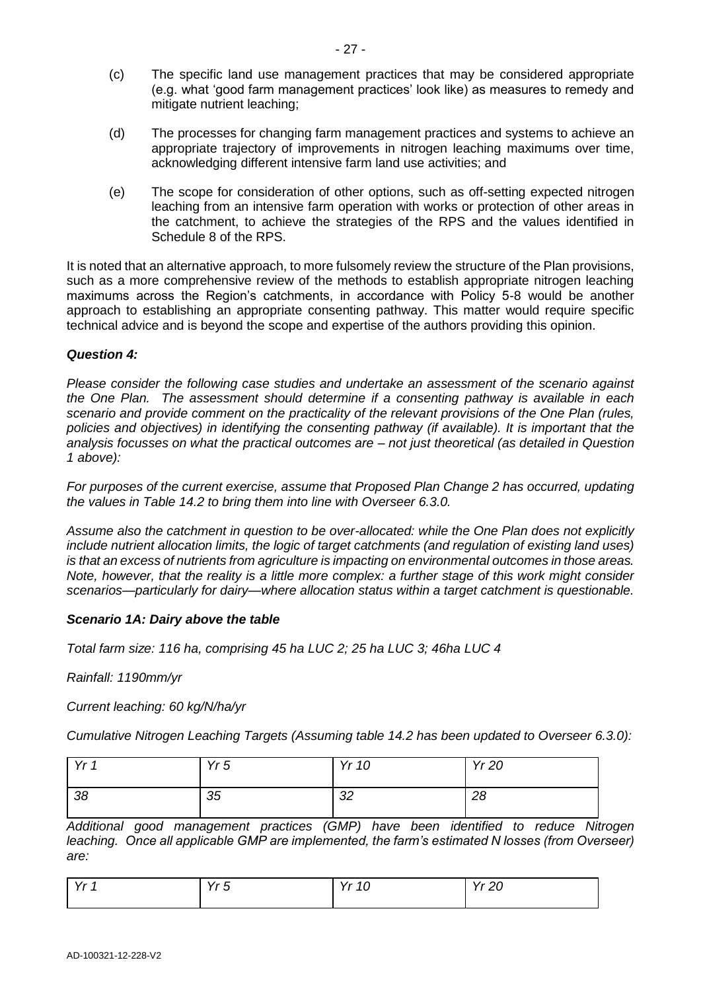- (c) The specific land use management practices that may be considered appropriate (e.g. what 'good farm management practices' look like) as measures to remedy and mitigate nutrient leaching;
- (d) The processes for changing farm management practices and systems to achieve an appropriate trajectory of improvements in nitrogen leaching maximums over time, acknowledging different intensive farm land use activities; and
- (e) The scope for consideration of other options, such as off-setting expected nitrogen leaching from an intensive farm operation with works or protection of other areas in the catchment, to achieve the strategies of the RPS and the values identified in Schedule 8 of the RPS.

It is noted that an alternative approach, to more fulsomely review the structure of the Plan provisions, such as a more comprehensive review of the methods to establish appropriate nitrogen leaching maximums across the Region's catchments, in accordance with Policy 5-8 would be another approach to establishing an appropriate consenting pathway. This matter would require specific technical advice and is beyond the scope and expertise of the authors providing this opinion.

## *Question 4:*

*Please consider the following case studies and undertake an assessment of the scenario against the One Plan. The assessment should determine if a consenting pathway is available in each scenario and provide comment on the practicality of the relevant provisions of the One Plan (rules, policies and objectives) in identifying the consenting pathway (if available). It is important that the analysis focusses on what the practical outcomes are – not just theoretical (as detailed in Question 1 above):*

*For purposes of the current exercise, assume that Proposed Plan Change 2 has occurred, updating the values in Table 14.2 to bring them into line with Overseer 6.3.0.* 

*Assume also the catchment in question to be over-allocated: while the One Plan does not explicitly include nutrient allocation limits, the logic of target catchments (and regulation of existing land uses) is that an excess of nutrients from agriculture is impacting on environmental outcomes in those areas. Note, however, that the reality is a little more complex: a further stage of this work might consider scenarios—particularly for dairy—where allocation status within a target catchment is questionable.*

### *Scenario 1A: Dairy above the table*

*Total farm size: 116 ha, comprising 45 ha LUC 2; 25 ha LUC 3; 46ha LUC 4*

*Rainfall: 1190mm/yr*

*Current leaching: 60 kg/N/ha/yr*

*Cumulative Nitrogen Leaching Targets (Assuming table 14.2 has been updated to Overseer 6.3.0):*

| $V_r$ 1 | Yr <sub>5</sub> | Yr 10    | <b>Yr 20</b> |
|---------|-----------------|----------|--------------|
| 38      | 35              | ററ<br>ےں | 28           |

*Additional good management practices (GMP) have been identified to reduce Nitrogen leaching. Once all applicable GMP are implemented, the farm's estimated N losses (from Overseer) are:*

| $V_{r}$<br>$\sim$ $\sim$ | $V_r$ $\bar{K}$<br>ັ<br>. . | Yr<br>$\overline{10}$<br>11 IU | $V_r$<br>ററ<br>1120 |
|--------------------------|-----------------------------|--------------------------------|---------------------|
|                          |                             |                                |                     |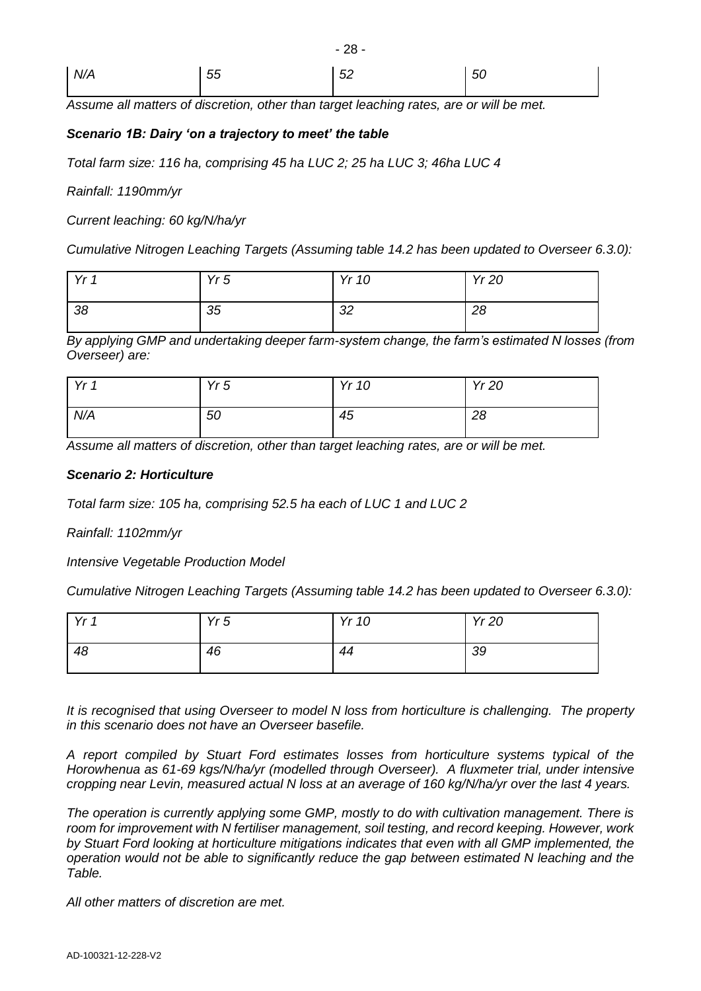| N/A | 55 | 52 | $\vert$ 50 |
|-----|----|----|------------|
|     |    |    |            |

- 28 -

*Assume all matters of discretion, other than target leaching rates, are or will be met.*

## *Scenario 1B: Dairy 'on a trajectory to meet' the table*

*Total farm size: 116 ha, comprising 45 ha LUC 2; 25 ha LUC 3; 46ha LUC 4*

*Rainfall: 1190mm/yr*

*Current leaching: 60 kg/N/ha/yr*

*Cumulative Nitrogen Leaching Targets (Assuming table 14.2 has been updated to Overseer 6.3.0):*

| $\vee$ 1 | Yr5 | Yr 10    | <b>Yr 20</b> |
|----------|-----|----------|--------------|
| -38      | 35  | ററ<br>◡∠ | 28           |

*By applying GMP and undertaking deeper farm-system change, the farm's estimated N losses (from Overseer) are:*

| $V_r$ 1 | Yr5 | Yr 10 | Yr 20 |
|---------|-----|-------|-------|
| N/A     | 50  | 45    | 28    |

*Assume all matters of discretion, other than target leaching rates, are or will be met.*

### *Scenario 2: Horticulture*

*Total farm size: 105 ha, comprising 52.5 ha each of LUC 1 and LUC 2*

*Rainfall: 1102mm/yr*

*Intensive Vegetable Production Model*

*Cumulative Nitrogen Leaching Targets (Assuming table 14.2 has been updated to Overseer 6.3.0):*

| Yr <sub>f</sub> | Yr5 | Yr 10 | <b>Yr 20</b> |
|-----------------|-----|-------|--------------|
| 48              | 46  | 44    | 39           |

*It is recognised that using Overseer to model N loss from horticulture is challenging. The property in this scenario does not have an Overseer basefile.* 

*A report compiled by Stuart Ford estimates losses from horticulture systems typical of the Horowhenua as 61-69 kgs/N/ha/yr (modelled through Overseer). A fluxmeter trial, under intensive cropping near Levin, measured actual N loss at an average of 160 kg/N/ha/yr over the last 4 years.*

*The operation is currently applying some GMP, mostly to do with cultivation management. There is room for improvement with N fertiliser management, soil testing, and record keeping. However, work by Stuart Ford looking at horticulture mitigations indicates that even with all GMP implemented, the operation would not be able to significantly reduce the gap between estimated N leaching and the Table.*

*All other matters of discretion are met.*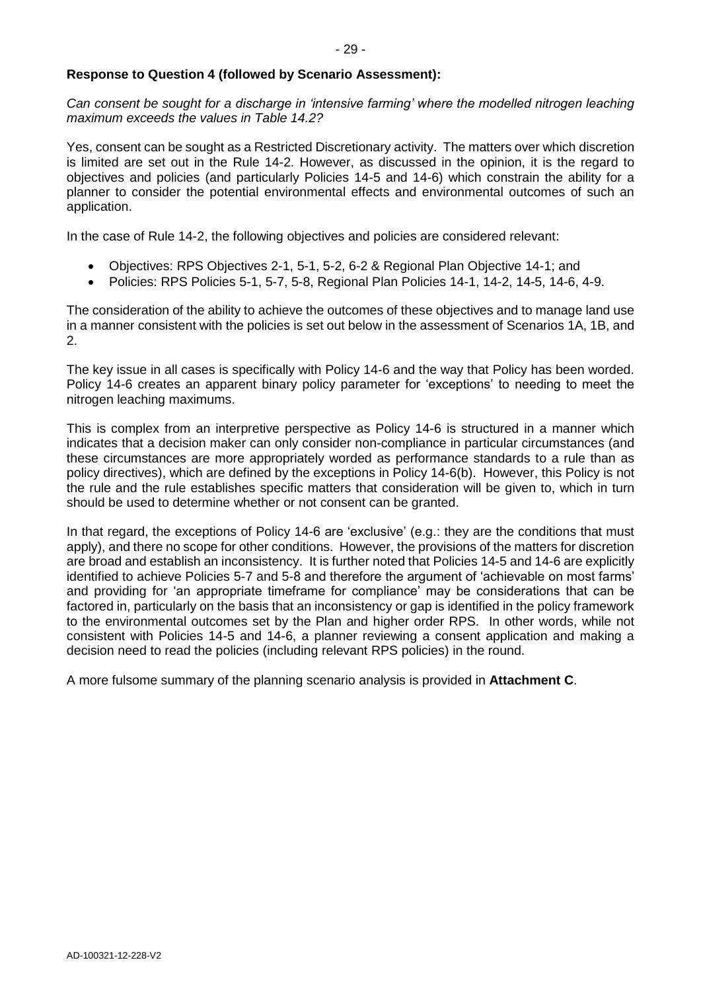## **Response to Question 4 (followed by Scenario Assessment):**

Can consent be sought for a discharge in 'intensive farming' where the modelled nitrogen leaching *maximum exceeds the values in Table 14.2?* 

Yes, consent can be sought as a Restricted Discretionary activity. The matters over which discretion is limited are set out in the Rule 14-2. However, as discussed in the opinion, it is the regard to objectives and policies (and particularly Policies 14-5 and 14-6) which constrain the ability for a planner to consider the potential environmental effects and environmental outcomes of such an application.

In the case of Rule 14-2, the following objectives and policies are considered relevant:

- Objectives: RPS Objectives 2-1, 5-1, 5-2, 6-2 & Regional Plan Objective 14-1; and
- Policies: RPS Policies 5-1, 5-7, 5-8, Regional Plan Policies 14-1, 14-2, 14-5, 14-6, 4-9.

The consideration of the ability to achieve the outcomes of these objectives and to manage land use in a manner consistent with the policies is set out below in the assessment of Scenarios 1A, 1B, and 2.

The key issue in all cases is specifically with Policy 14-6 and the way that Policy has been worded. Policy 14-6 creates an apparent binary policy parameter for 'exceptions' to needing to meet the nitrogen leaching maximums.

This is complex from an interpretive perspective as Policy 14-6 is structured in a manner which indicates that a decision maker can only consider non-compliance in particular circumstances (and these circumstances are more appropriately worded as performance standards to a rule than as policy directives), which are defined by the exceptions in Policy 14-6(b). However, this Policy is not the rule and the rule establishes specific matters that consideration will be given to, which in turn should be used to determine whether or not consent can be granted.

In that regard, the exceptions of Policy 14-6 are 'exclusive' (e.g.: they are the conditions that must apply), and there no scope for other conditions. However, the provisions of the matters for discretion are broad and establish an inconsistency. It is further noted that Policies 14-5 and 14-6 are explicitly identified to achieve Policies 5-7 and 5-8 and therefore the argument of 'achievable on most farms' and providing for 'an appropriate timeframe for compliance' may be considerations that can be factored in, particularly on the basis that an inconsistency or gap is identified in the policy framework to the environmental outcomes set by the Plan and higher order RPS. In other words, while not consistent with Policies 14-5 and 14-6, a planner reviewing a consent application and making a decision need to read the policies (including relevant RPS policies) in the round.

A more fulsome summary of the planning scenario analysis is provided in **Attachment C**.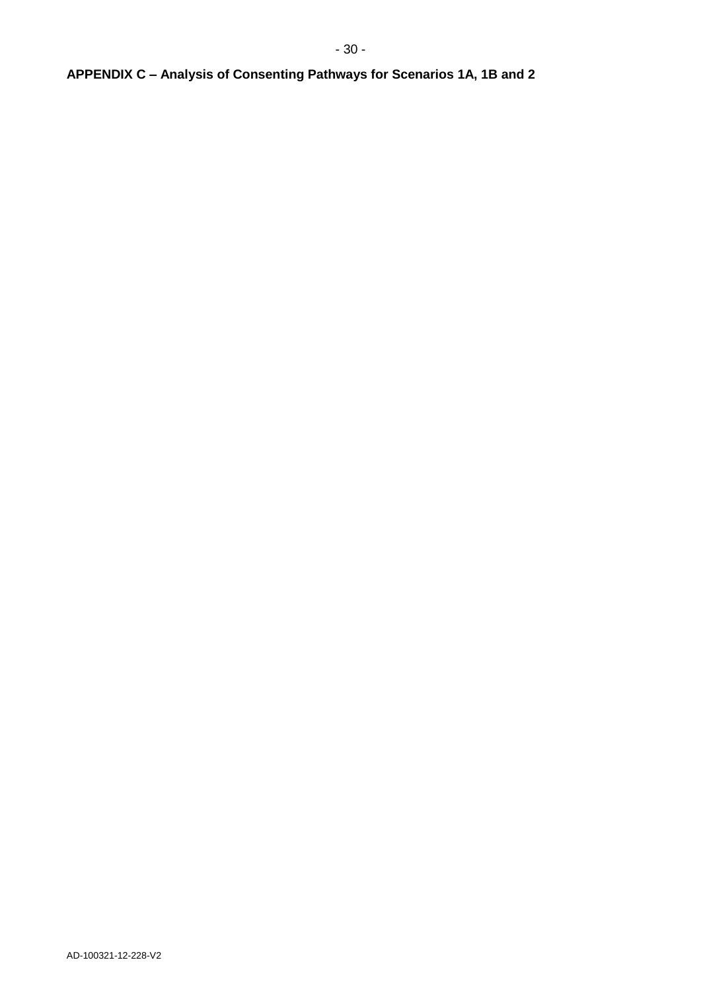# **APPENDIX C – Analysis of Consenting Pathways for Scenarios 1A, 1B and 2**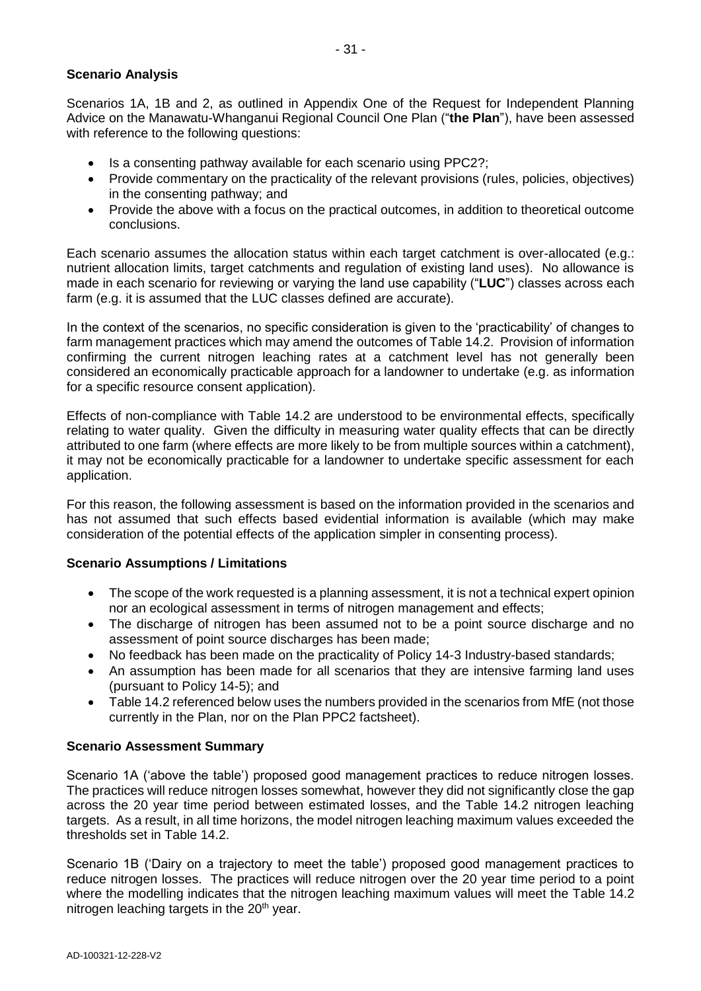## **Scenario Analysis**

Scenarios 1A, 1B and 2, as outlined in Appendix One of the Request for Independent Planning Advice on the Manawatu-Whanganui Regional Council One Plan ("**the Plan**"), have been assessed with reference to the following questions:

- Is a consenting pathway available for each scenario using PPC2?;
- Provide commentary on the practicality of the relevant provisions (rules, policies, objectives) in the consenting pathway; and
- Provide the above with a focus on the practical outcomes, in addition to theoretical outcome conclusions.

Each scenario assumes the allocation status within each target catchment is over-allocated (e.g.: nutrient allocation limits, target catchments and regulation of existing land uses). No allowance is made in each scenario for reviewing or varying the land use capability ("**LUC**") classes across each farm (e.g. it is assumed that the LUC classes defined are accurate).

In the context of the scenarios, no specific consideration is given to the 'practicability' of changes to farm management practices which may amend the outcomes of Table 14.2. Provision of information confirming the current nitrogen leaching rates at a catchment level has not generally been considered an economically practicable approach for a landowner to undertake (e.g. as information for a specific resource consent application).

Effects of non-compliance with Table 14.2 are understood to be environmental effects, specifically relating to water quality. Given the difficulty in measuring water quality effects that can be directly attributed to one farm (where effects are more likely to be from multiple sources within a catchment), it may not be economically practicable for a landowner to undertake specific assessment for each application.

For this reason, the following assessment is based on the information provided in the scenarios and has not assumed that such effects based evidential information is available (which may make consideration of the potential effects of the application simpler in consenting process).

# **Scenario Assumptions / Limitations**

- The scope of the work requested is a planning assessment, it is not a technical expert opinion nor an ecological assessment in terms of nitrogen management and effects;
- The discharge of nitrogen has been assumed not to be a point source discharge and no assessment of point source discharges has been made;
- No feedback has been made on the practicality of Policy 14-3 Industry-based standards;
- An assumption has been made for all scenarios that they are intensive farming land uses (pursuant to Policy 14-5); and
- Table 14.2 referenced below uses the numbers provided in the scenarios from MfE (not those currently in the Plan, nor on the Plan PPC2 factsheet).

### **Scenario Assessment Summary**

Scenario 1A ('above the table') proposed good management practices to reduce nitrogen losses. The practices will reduce nitrogen losses somewhat, however they did not significantly close the gap across the 20 year time period between estimated losses, and the Table 14.2 nitrogen leaching targets. As a result, in all time horizons, the model nitrogen leaching maximum values exceeded the thresholds set in Table 14.2.

Scenario 1B ('Dairy on a trajectory to meet the table') proposed good management practices to reduce nitrogen losses. The practices will reduce nitrogen over the 20 year time period to a point where the modelling indicates that the nitrogen leaching maximum values will meet the Table 14.2 nitrogen leaching targets in the  $20<sup>th</sup>$  year.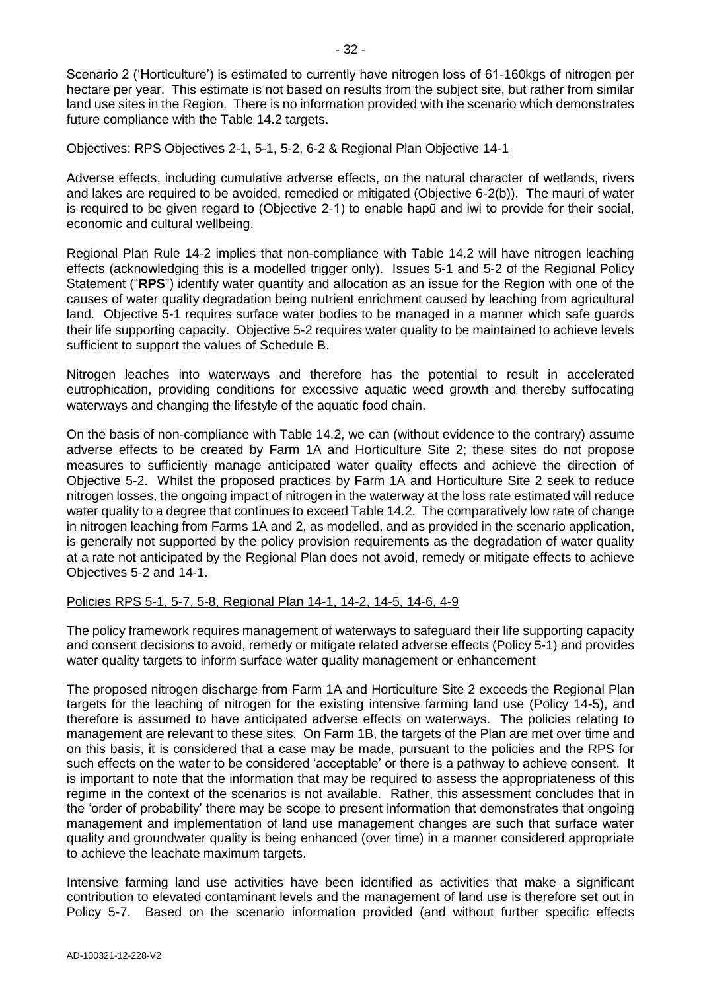Scenario 2 ('Horticulture') is estimated to currently have nitrogen loss of 61-160 kgs of nitrogen per hectare per year. This estimate is not based on results from the subject site, but rather from similar land use sites in the Region. There is no information provided with the scenario which demonstrates future compliance with the Table 14.2 targets.

# Objectives: RPS Objectives 2-1, 5-1, 5-2, 6-2 & Regional Plan Objective 14-1

Adverse effects, including cumulative adverse effects, on the natural character of wetlands, rivers and lakes are required to be avoided, remedied or mitigated (Objective 6-2(b)). The mauri of water is required to be given regard to (Objective 2-1) to enable hapū and iwi to provide for their social, economic and cultural wellbeing.

Regional Plan Rule 14-2 implies that non-compliance with Table 14.2 will have nitrogen leaching effects (acknowledging this is a modelled trigger only). Issues 5-1 and 5-2 of the Regional Policy Statement ("**RPS**") identify water quantity and allocation as an issue for the Region with one of the causes of water quality degradation being nutrient enrichment caused by leaching from agricultural land. Objective 5-1 requires surface water bodies to be managed in a manner which safe guards their life supporting capacity. Objective 5-2 requires water quality to be maintained to achieve levels sufficient to support the values of Schedule B.

Nitrogen leaches into waterways and therefore has the potential to result in accelerated eutrophication, providing conditions for excessive aquatic weed growth and thereby suffocating waterways and changing the lifestyle of the aquatic food chain.

On the basis of non-compliance with Table 14.2, we can (without evidence to the contrary) assume adverse effects to be created by Farm 1A and Horticulture Site 2; these sites do not propose measures to sufficiently manage anticipated water quality effects and achieve the direction of Objective 5-2. Whilst the proposed practices by Farm 1A and Horticulture Site 2 seek to reduce nitrogen losses, the ongoing impact of nitrogen in the waterway at the loss rate estimated will reduce water quality to a degree that continues to exceed Table 14.2. The comparatively low rate of change in nitrogen leaching from Farms 1A and 2, as modelled, and as provided in the scenario application, is generally not supported by the policy provision requirements as the degradation of water quality at a rate not anticipated by the Regional Plan does not avoid, remedy or mitigate effects to achieve Objectives 5-2 and 14-1.

# Policies RPS 5-1, 5-7, 5-8, Regional Plan 14-1, 14-2, 14-5, 14-6, 4-9

The policy framework requires management of waterways to safeguard their life supporting capacity and consent decisions to avoid, remedy or mitigate related adverse effects (Policy 5-1) and provides water quality targets to inform surface water quality management or enhancement

The proposed nitrogen discharge from Farm 1A and Horticulture Site 2 exceeds the Regional Plan targets for the leaching of nitrogen for the existing intensive farming land use (Policy 14-5), and therefore is assumed to have anticipated adverse effects on waterways. The policies relating to management are relevant to these sites. On Farm 1B, the targets of the Plan are met over time and on this basis, it is considered that a case may be made, pursuant to the policies and the RPS for such effects on the water to be considered 'acceptable' or there is a pathway to achieve consent. It is important to note that the information that may be required to assess the appropriateness of this regime in the context of the scenarios is not available. Rather, this assessment concludes that in the 'order of probability' there may be scope to present information that demonstrates that ongoing management and implementation of land use management changes are such that surface water quality and groundwater quality is being enhanced (over time) in a manner considered appropriate to achieve the leachate maximum targets.

Intensive farming land use activities have been identified as activities that make a significant contribution to elevated contaminant levels and the management of land use is therefore set out in Policy 5-7. Based on the scenario information provided (and without further specific effects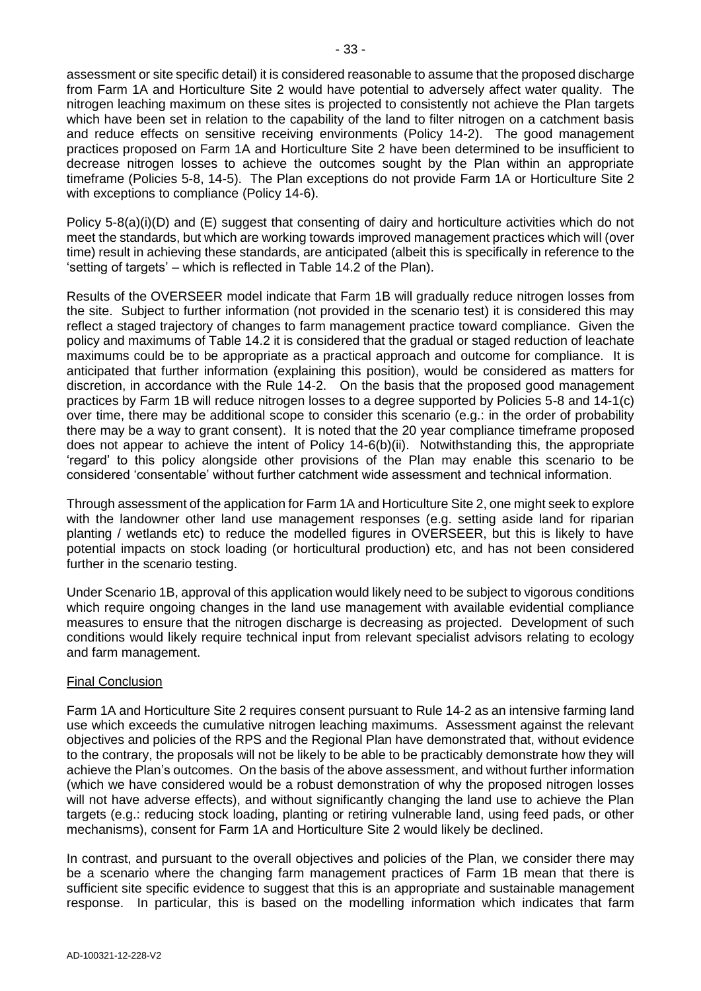assessment or site specific detail) it is considered reasonable to assume that the proposed discharge from Farm 1A and Horticulture Site 2 would have potential to adversely affect water quality. The nitrogen leaching maximum on these sites is projected to consistently not achieve the Plan targets which have been set in relation to the capability of the land to filter nitrogen on a catchment basis and reduce effects on sensitive receiving environments (Policy 14-2). The good management practices proposed on Farm 1A and Horticulture Site 2 have been determined to be insufficient to decrease nitrogen losses to achieve the outcomes sought by the Plan within an appropriate timeframe (Policies 5-8, 14-5). The Plan exceptions do not provide Farm 1A or Horticulture Site 2 with exceptions to compliance (Policy 14-6).

Policy 5-8(a)(i)(D) and (E) suggest that consenting of dairy and horticulture activities which do not meet the standards, but which are working towards improved management practices which will (over time) result in achieving these standards, are anticipated (albeit this is specifically in reference to the 'setting of targets' – which is reflected in Table 14.2 of the Plan).

Results of the OVERSEER model indicate that Farm 1B will gradually reduce nitrogen losses from the site. Subject to further information (not provided in the scenario test) it is considered this may reflect a staged trajectory of changes to farm management practice toward compliance. Given the policy and maximums of Table 14.2 it is considered that the gradual or staged reduction of leachate maximums could be to be appropriate as a practical approach and outcome for compliance. It is anticipated that further information (explaining this position), would be considered as matters for discretion, in accordance with the Rule 14-2. On the basis that the proposed good management practices by Farm 1B will reduce nitrogen losses to a degree supported by Policies 5-8 and 14-1(c) over time, there may be additional scope to consider this scenario (e.g.: in the order of probability there may be a way to grant consent). It is noted that the 20 year compliance timeframe proposed does not appear to achieve the intent of Policy 14-6(b)(ii). Notwithstanding this, the appropriate 'regard' to this policy alongside other provisions of the Plan may enable this scenario to be considered 'consentable' without further catchment wide assessment and technical information.

Through assessment of the application for Farm 1A and Horticulture Site 2, one might seek to explore with the landowner other land use management responses (e.g. setting aside land for riparian planting / wetlands etc) to reduce the modelled figures in OVERSEER, but this is likely to have potential impacts on stock loading (or horticultural production) etc, and has not been considered further in the scenario testing.

Under Scenario 1B, approval of this application would likely need to be subject to vigorous conditions which require ongoing changes in the land use management with available evidential compliance measures to ensure that the nitrogen discharge is decreasing as projected. Development of such conditions would likely require technical input from relevant specialist advisors relating to ecology and farm management.

# Final Conclusion

Farm 1A and Horticulture Site 2 requires consent pursuant to Rule 14-2 as an intensive farming land use which exceeds the cumulative nitrogen leaching maximums. Assessment against the relevant objectives and policies of the RPS and the Regional Plan have demonstrated that, without evidence to the contrary, the proposals will not be likely to be able to be practicably demonstrate how they will achieve the Plan's outcomes. On the basis of the above assessment, and without further information (which we have considered would be a robust demonstration of why the proposed nitrogen losses will not have adverse effects), and without significantly changing the land use to achieve the Plan targets (e.g.: reducing stock loading, planting or retiring vulnerable land, using feed pads, or other mechanisms), consent for Farm 1A and Horticulture Site 2 would likely be declined.

In contrast, and pursuant to the overall objectives and policies of the Plan, we consider there mav be a scenario where the changing farm management practices of Farm 1B mean that there is sufficient site specific evidence to suggest that this is an appropriate and sustainable management response. In particular, this is based on the modelling information which indicates that farm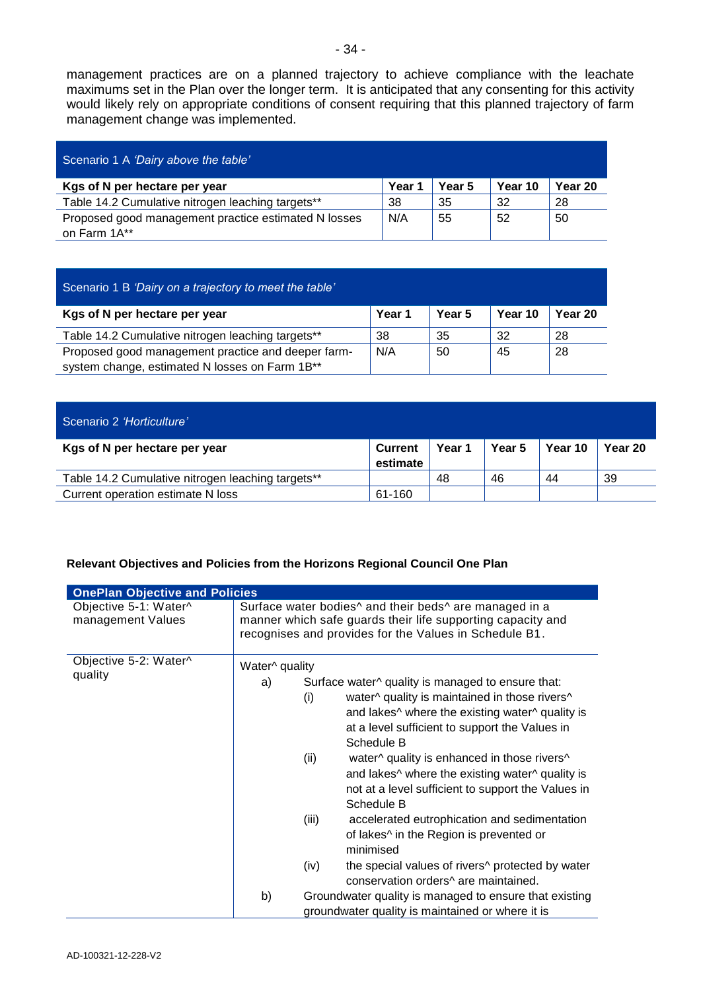management practices are on a planned trajectory to achieve compliance with the leachate maximums set in the Plan over the longer term. It is anticipated that any consenting for this activity would likely rely on appropriate conditions of consent requiring that this planned trajectory of farm management change was implemented.

| Scenario 1 A 'Dairy above the table'                 |        |        |         |         |
|------------------------------------------------------|--------|--------|---------|---------|
| Kgs of N per hectare per year                        | Year 1 | Year 5 | Year 10 | Year 20 |
| Table 14.2 Cumulative nitrogen leaching targets**    | 38     | 35     | 32      | 28      |
| Proposed good management practice estimated N losses | N/A    | 55     | 52      | 50      |
| on Farm 1A**                                         |        |        |         |         |

| Scenario 1 B 'Dairy on a trajectory to meet the table' |        |        |         |         |  |  |
|--------------------------------------------------------|--------|--------|---------|---------|--|--|
| Kgs of N per hectare per year                          | Year 1 | Year 5 | Year 10 | Year 20 |  |  |
| Table 14.2 Cumulative nitrogen leaching targets**      | 38     | 35     | 32      | 28      |  |  |
| Proposed good management practice and deeper farm-     | N/A    | 50     | 45      | 28      |  |  |
| system change, estimated N losses on Farm 1B**         |        |        |         |         |  |  |

| Scenario 2 'Horticulture'                         |                            |        |        |         |         |
|---------------------------------------------------|----------------------------|--------|--------|---------|---------|
| Kgs of N per hectare per year                     | <b>Current</b><br>estimate | Year 1 | Year 5 | Year 10 | Year 20 |
| Table 14.2 Cumulative nitrogen leaching targets** |                            | 48     | 46     | 44      | 39      |
| Current operation estimate N loss                 | 61-160                     |        |        |         |         |

# **Relevant Objectives and Policies from the Horizons Regional Council One Plan**

| <b>OnePlan Objective and Policies</b>      |                                                                                                                                                                                                         |                                                                                                                                                                                                                                                                                                                                                                                                                                                                                                                                                                                                                                                                                                                                       |  |
|--------------------------------------------|---------------------------------------------------------------------------------------------------------------------------------------------------------------------------------------------------------|---------------------------------------------------------------------------------------------------------------------------------------------------------------------------------------------------------------------------------------------------------------------------------------------------------------------------------------------------------------------------------------------------------------------------------------------------------------------------------------------------------------------------------------------------------------------------------------------------------------------------------------------------------------------------------------------------------------------------------------|--|
| Objective 5-1: Water^<br>management Values | Surface water bodies <sup>^</sup> and their beds <sup>^</sup> are managed in a<br>manner which safe guards their life supporting capacity and<br>recognises and provides for the Values in Schedule B1. |                                                                                                                                                                                                                                                                                                                                                                                                                                                                                                                                                                                                                                                                                                                                       |  |
| Objective 5-2: Water^                      | Water <sup>^</sup> quality                                                                                                                                                                              |                                                                                                                                                                                                                                                                                                                                                                                                                                                                                                                                                                                                                                                                                                                                       |  |
| quality                                    | a)                                                                                                                                                                                                      | Surface water^ quality is managed to ensure that:<br>water^ quality is maintained in those rivers^<br>(i)<br>and lakes <sup>^</sup> where the existing water <sup>^</sup> quality is<br>at a level sufficient to support the Values in<br>Schedule B<br>water^ quality is enhanced in those rivers^<br>(ii)<br>and lakes <sup>^</sup> where the existing water <sup>^</sup> quality is<br>not at a level sufficient to support the Values in<br>Schedule B<br>accelerated eutrophication and sedimentation<br>(iii)<br>of lakes <sup><math>\wedge</math></sup> in the Region is prevented or<br>minimised<br>the special values of rivers <sup>^</sup> protected by water<br>(iv)<br>conservation orders <sup>A</sup> are maintained. |  |
|                                            | b)                                                                                                                                                                                                      | Groundwater quality is managed to ensure that existing<br>groundwater quality is maintained or where it is                                                                                                                                                                                                                                                                                                                                                                                                                                                                                                                                                                                                                            |  |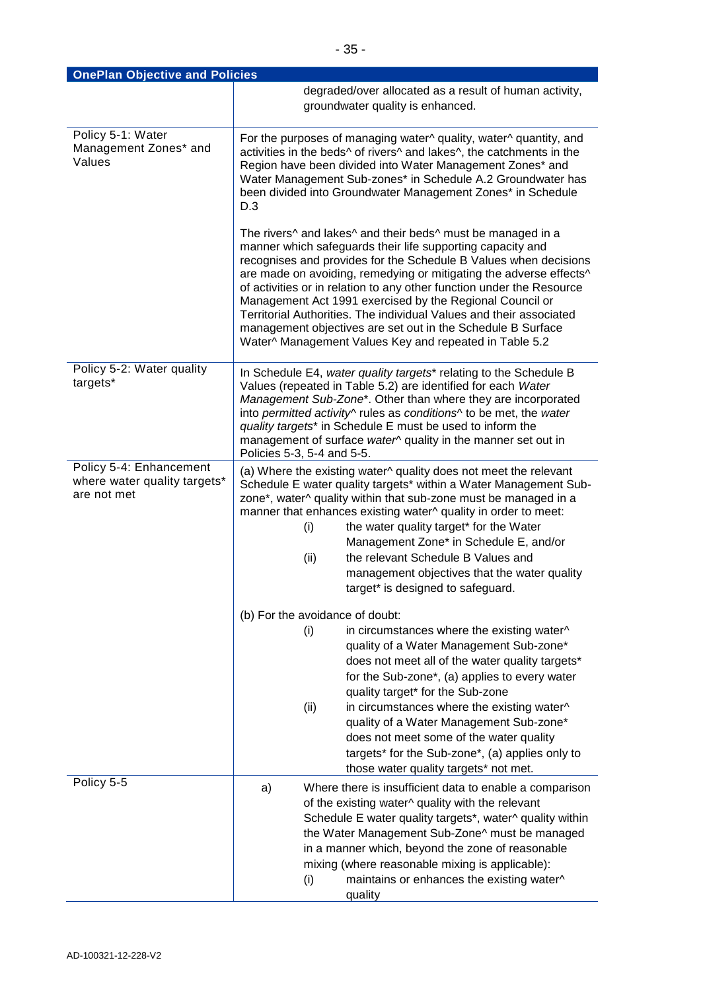| <b>OnePlan Objective and Policies</b>                                  |                                                                                                                                                                                                                                                                                                                                                                                                                                                                                                                                                                                                          |  |  |
|------------------------------------------------------------------------|----------------------------------------------------------------------------------------------------------------------------------------------------------------------------------------------------------------------------------------------------------------------------------------------------------------------------------------------------------------------------------------------------------------------------------------------------------------------------------------------------------------------------------------------------------------------------------------------------------|--|--|
|                                                                        | degraded/over allocated as a result of human activity,                                                                                                                                                                                                                                                                                                                                                                                                                                                                                                                                                   |  |  |
|                                                                        | groundwater quality is enhanced.                                                                                                                                                                                                                                                                                                                                                                                                                                                                                                                                                                         |  |  |
|                                                                        |                                                                                                                                                                                                                                                                                                                                                                                                                                                                                                                                                                                                          |  |  |
| Policy 5-1: Water<br>Management Zones* and<br>Values                   | For the purposes of managing water^ quality, water^ quantity, and<br>activities in the beds^ of rivers^ and lakes^, the catchments in the<br>Region have been divided into Water Management Zones* and<br>Water Management Sub-zones* in Schedule A.2 Groundwater has<br>been divided into Groundwater Management Zones* in Schedule<br>D.3                                                                                                                                                                                                                                                              |  |  |
|                                                                        | The rivers^ and lakes^ and their beds^ must be managed in a<br>manner which safeguards their life supporting capacity and<br>recognises and provides for the Schedule B Values when decisions<br>are made on avoiding, remedying or mitigating the adverse effects^<br>of activities or in relation to any other function under the Resource<br>Management Act 1991 exercised by the Regional Council or<br>Territorial Authorities. The individual Values and their associated<br>management objectives are set out in the Schedule B Surface<br>Water^ Management Values Key and repeated in Table 5.2 |  |  |
| Policy 5-2: Water quality<br>targets*                                  | In Schedule E4, water quality targets* relating to the Schedule B<br>Values (repeated in Table 5.2) are identified for each Water<br>Management Sub-Zone*. Other than where they are incorporated<br>into permitted activity^ rules as conditions^ to be met, the water<br>quality targets* in Schedule E must be used to inform the<br>management of surface water <sup>^</sup> quality in the manner set out in<br>Policies 5-3, 5-4 and 5-5.                                                                                                                                                          |  |  |
| Policy 5-4: Enhancement<br>where water quality targets*<br>are not met | (a) Where the existing water^ quality does not meet the relevant<br>Schedule E water quality targets* within a Water Management Sub-<br>zone*, water^ quality within that sub-zone must be managed in a<br>manner that enhances existing water^ quality in order to meet:<br>the water quality target* for the Water<br>(i)<br>Management Zone* in Schedule E, and/or<br>the relevant Schedule B Values and<br>(ii)<br>management objectives that the water quality<br>target* is designed to safeguard.                                                                                                 |  |  |
|                                                                        |                                                                                                                                                                                                                                                                                                                                                                                                                                                                                                                                                                                                          |  |  |
|                                                                        | (b) For the avoidance of doubt:<br>in circumstances where the existing water^<br>(i)<br>quality of a Water Management Sub-zone*<br>does not meet all of the water quality targets*<br>for the Sub-zone*, (a) applies to every water<br>quality target* for the Sub-zone<br>in circumstances where the existing water^<br>(ii)<br>quality of a Water Management Sub-zone*<br>does not meet some of the water quality<br>targets* for the Sub-zone*, (a) applies only to                                                                                                                                   |  |  |
| Policy 5-5                                                             | those water quality targets* not met.                                                                                                                                                                                                                                                                                                                                                                                                                                                                                                                                                                    |  |  |
|                                                                        | Where there is insufficient data to enable a comparison<br>a)<br>of the existing water^ quality with the relevant<br>Schedule E water quality targets*, water^ quality within<br>the Water Management Sub-Zone^ must be managed<br>in a manner which, beyond the zone of reasonable<br>mixing (where reasonable mixing is applicable):<br>maintains or enhances the existing water^<br>(i)<br>quality                                                                                                                                                                                                    |  |  |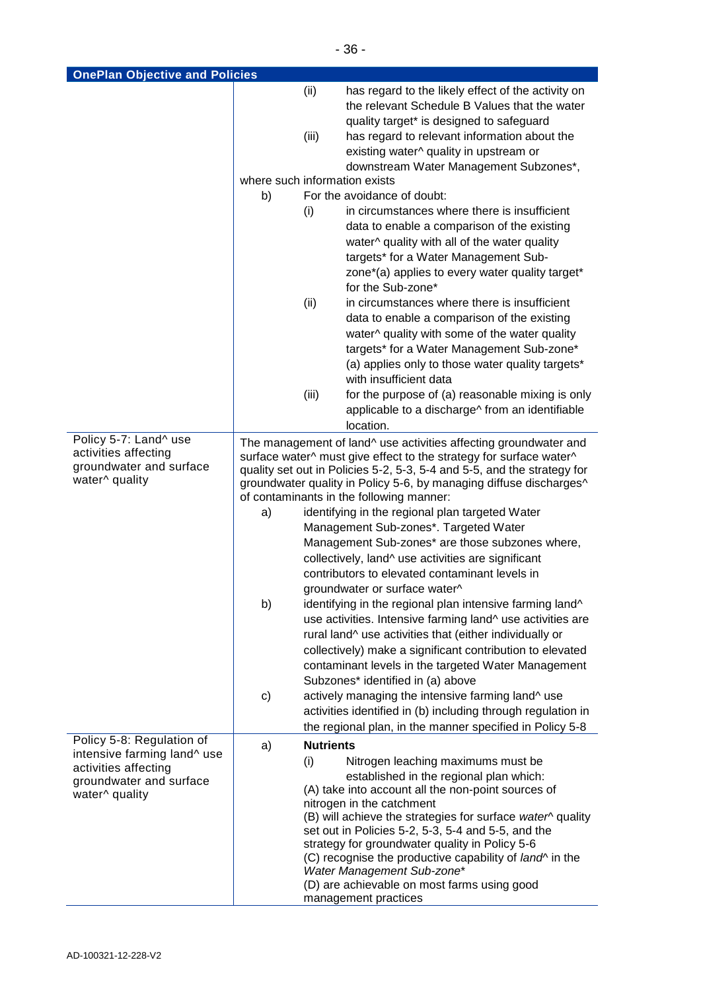| <b>OnePlan Objective and Policies</b>                                                                                         |                                                                                                                                                                                                                                                                                         |                         |                                                                                                                                                                                                                                                                                                                                                                                                                                                                                                                                       |
|-------------------------------------------------------------------------------------------------------------------------------|-----------------------------------------------------------------------------------------------------------------------------------------------------------------------------------------------------------------------------------------------------------------------------------------|-------------------------|---------------------------------------------------------------------------------------------------------------------------------------------------------------------------------------------------------------------------------------------------------------------------------------------------------------------------------------------------------------------------------------------------------------------------------------------------------------------------------------------------------------------------------------|
|                                                                                                                               |                                                                                                                                                                                                                                                                                         | (ii)                    | has regard to the likely effect of the activity on<br>the relevant Schedule B Values that the water                                                                                                                                                                                                                                                                                                                                                                                                                                   |
|                                                                                                                               |                                                                                                                                                                                                                                                                                         | (iii)                   | quality target* is designed to safeguard<br>has regard to relevant information about the<br>existing water^ quality in upstream or<br>downstream Water Management Subzones*,                                                                                                                                                                                                                                                                                                                                                          |
|                                                                                                                               | where such information exists                                                                                                                                                                                                                                                           |                         |                                                                                                                                                                                                                                                                                                                                                                                                                                                                                                                                       |
|                                                                                                                               | b)                                                                                                                                                                                                                                                                                      |                         | For the avoidance of doubt:                                                                                                                                                                                                                                                                                                                                                                                                                                                                                                           |
|                                                                                                                               |                                                                                                                                                                                                                                                                                         | (i)                     | in circumstances where there is insufficient<br>data to enable a comparison of the existing<br>water^ quality with all of the water quality<br>targets* for a Water Management Sub-<br>zone*(a) applies to every water quality target*<br>for the Sub-zone*                                                                                                                                                                                                                                                                           |
|                                                                                                                               |                                                                                                                                                                                                                                                                                         | (ii)                    | in circumstances where there is insufficient<br>data to enable a comparison of the existing<br>water^ quality with some of the water quality<br>targets* for a Water Management Sub-zone*<br>(a) applies only to those water quality targets*<br>with insufficient data                                                                                                                                                                                                                                                               |
|                                                                                                                               |                                                                                                                                                                                                                                                                                         | (iii)                   | for the purpose of (a) reasonable mixing is only<br>applicable to a discharge^ from an identifiable<br>location.                                                                                                                                                                                                                                                                                                                                                                                                                      |
| Policy 5-7: Land^ use<br>activities affecting<br>groundwater and surface<br>water^ quality                                    | The management of land^ use activities affecting groundwater and<br>surface water^ must give effect to the strategy for surface water^<br>quality set out in Policies 5-2, 5-3, 5-4 and 5-5, and the strategy for<br>groundwater quality in Policy 5-6, by managing diffuse discharges^ |                         |                                                                                                                                                                                                                                                                                                                                                                                                                                                                                                                                       |
|                                                                                                                               |                                                                                                                                                                                                                                                                                         |                         | of contaminants in the following manner:                                                                                                                                                                                                                                                                                                                                                                                                                                                                                              |
|                                                                                                                               | a)                                                                                                                                                                                                                                                                                      |                         | identifying in the regional plan targeted Water<br>Management Sub-zones*. Targeted Water                                                                                                                                                                                                                                                                                                                                                                                                                                              |
|                                                                                                                               |                                                                                                                                                                                                                                                                                         |                         | Management Sub-zones* are those subzones where,<br>collectively, land^ use activities are significant<br>contributors to elevated contaminant levels in<br>groundwater or surface water^                                                                                                                                                                                                                                                                                                                                              |
|                                                                                                                               | b)                                                                                                                                                                                                                                                                                      |                         | identifying in the regional plan intensive farming land^<br>use activities. Intensive farming land^ use activities are<br>rural land^ use activities that (either individually or<br>collectively) make a significant contribution to elevated<br>contaminant levels in the targeted Water Management<br>Subzones* identified in (a) above                                                                                                                                                                                            |
|                                                                                                                               | c)                                                                                                                                                                                                                                                                                      |                         | actively managing the intensive farming land^ use<br>activities identified in (b) including through regulation in<br>the regional plan, in the manner specified in Policy 5-8                                                                                                                                                                                                                                                                                                                                                         |
| Policy 5-8: Regulation of<br>intensive farming land^ use<br>activities affecting<br>groundwater and surface<br>water^ quality | a)                                                                                                                                                                                                                                                                                      | <b>Nutrients</b><br>(i) | Nitrogen leaching maximums must be<br>established in the regional plan which:<br>(A) take into account all the non-point sources of<br>nitrogen in the catchment<br>(B) will achieve the strategies for surface water <sup>^</sup> quality<br>set out in Policies 5-2, 5-3, 5-4 and 5-5, and the<br>strategy for groundwater quality in Policy 5-6<br>(C) recognise the productive capability of <i>land</i> <sup>*</sup> in the<br>Water Management Sub-zone*<br>(D) are achievable on most farms using good<br>management practices |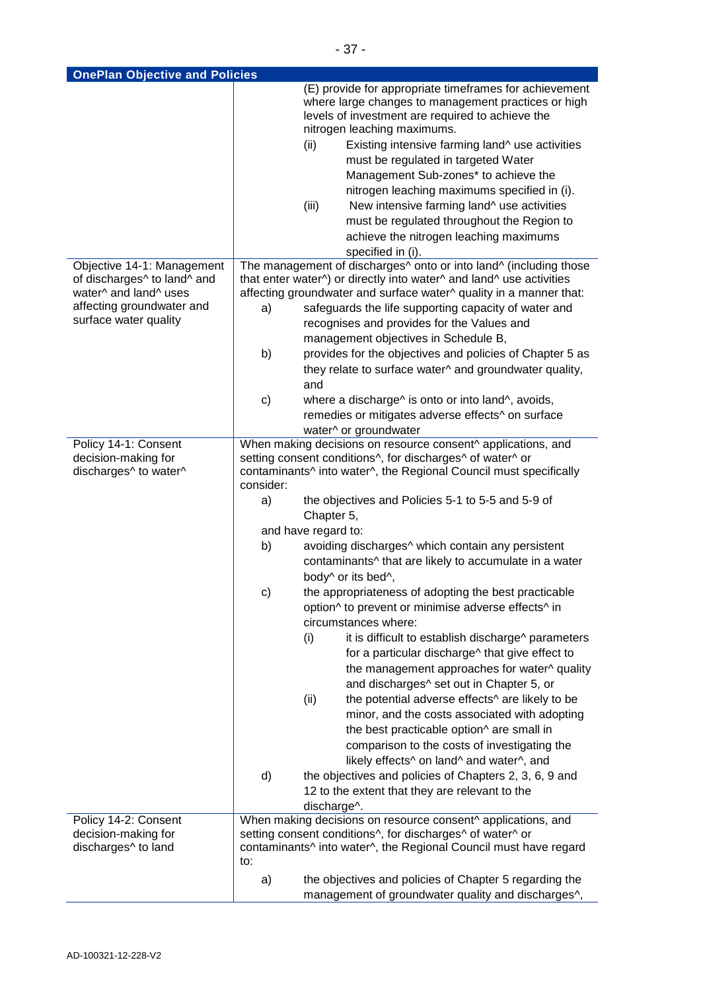| <b>OnePlan Objective and Policies</b>                                              |           |                                                                                                                                                                                                                                                                                                                                                                                            |
|------------------------------------------------------------------------------------|-----------|--------------------------------------------------------------------------------------------------------------------------------------------------------------------------------------------------------------------------------------------------------------------------------------------------------------------------------------------------------------------------------------------|
|                                                                                    |           | (E) provide for appropriate timeframes for achievement<br>where large changes to management practices or high<br>levels of investment are required to achieve the<br>nitrogen leaching maximums.<br>Existing intensive farming land^ use activities<br>(ii)<br>must be regulated in targeted Water<br>Management Sub-zones* to achieve the<br>nitrogen leaching maximums specified in (i). |
|                                                                                    |           | (iii)<br>New intensive farming land^ use activities<br>must be regulated throughout the Region to                                                                                                                                                                                                                                                                                          |
|                                                                                    |           | achieve the nitrogen leaching maximums<br>specified in (i).                                                                                                                                                                                                                                                                                                                                |
| Objective 14-1: Management<br>of discharges^ to land^ and<br>water^ and land^ uses |           | The management of discharges <sup>^</sup> onto or into land <sup>^</sup> (including those<br>that enter water^) or directly into water^ and land^ use activities<br>affecting groundwater and surface water^ quality in a manner that:                                                                                                                                                     |
| affecting groundwater and<br>surface water quality                                 | a)        | safeguards the life supporting capacity of water and<br>recognises and provides for the Values and                                                                                                                                                                                                                                                                                         |
|                                                                                    |           | management objectives in Schedule B,                                                                                                                                                                                                                                                                                                                                                       |
|                                                                                    | b)        | provides for the objectives and policies of Chapter 5 as<br>they relate to surface water^ and groundwater quality,<br>and                                                                                                                                                                                                                                                                  |
|                                                                                    | c)        | where a discharge <sup><math>\land</math></sup> is onto or into land <sup><math>\land</math></sup> , avoids,                                                                                                                                                                                                                                                                               |
|                                                                                    |           | remedies or mitigates adverse effects^ on surface                                                                                                                                                                                                                                                                                                                                          |
|                                                                                    |           | water^ or groundwater                                                                                                                                                                                                                                                                                                                                                                      |
| Policy 14-1: Consent                                                               |           | When making decisions on resource consent^ applications, and                                                                                                                                                                                                                                                                                                                               |
| decision-making for<br>discharges^ to water^                                       | consider: | setting consent conditions^, for discharges^ of water^ or<br>contaminants^ into water^, the Regional Council must specifically                                                                                                                                                                                                                                                             |
|                                                                                    | a)        | the objectives and Policies 5-1 to 5-5 and 5-9 of<br>Chapter 5,                                                                                                                                                                                                                                                                                                                            |
|                                                                                    |           | and have regard to:                                                                                                                                                                                                                                                                                                                                                                        |
|                                                                                    | b)        | avoiding discharges^ which contain any persistent<br>contaminants^ that are likely to accumulate in a water<br>body^ or its bed^,                                                                                                                                                                                                                                                          |
|                                                                                    | c)        | the appropriateness of adopting the best practicable<br>option^ to prevent or minimise adverse effects^ in                                                                                                                                                                                                                                                                                 |
|                                                                                    |           | circumstances where:<br>(i)<br>it is difficult to establish discharge^ parameters<br>for a particular discharge^ that give effect to                                                                                                                                                                                                                                                       |
|                                                                                    |           | the management approaches for water^ quality<br>and discharges^ set out in Chapter 5, or                                                                                                                                                                                                                                                                                                   |
|                                                                                    |           | the potential adverse effects^ are likely to be<br>(ii)<br>minor, and the costs associated with adopting<br>the best practicable option^ are small in<br>comparison to the costs of investigating the<br>likely effects^ on land^ and water^, and                                                                                                                                          |
|                                                                                    | d)        | the objectives and policies of Chapters 2, 3, 6, 9 and<br>12 to the extent that they are relevant to the<br>discharge^.                                                                                                                                                                                                                                                                    |
| Policy 14-2: Consent<br>decision-making for<br>discharges^ to land                 | to:       | When making decisions on resource consent^ applications, and<br>setting consent conditions^, for discharges^ of water^ or<br>contaminants^ into water^, the Regional Council must have regard                                                                                                                                                                                              |
|                                                                                    | a)        | the objectives and policies of Chapter 5 regarding the<br>management of groundwater quality and discharges^,                                                                                                                                                                                                                                                                               |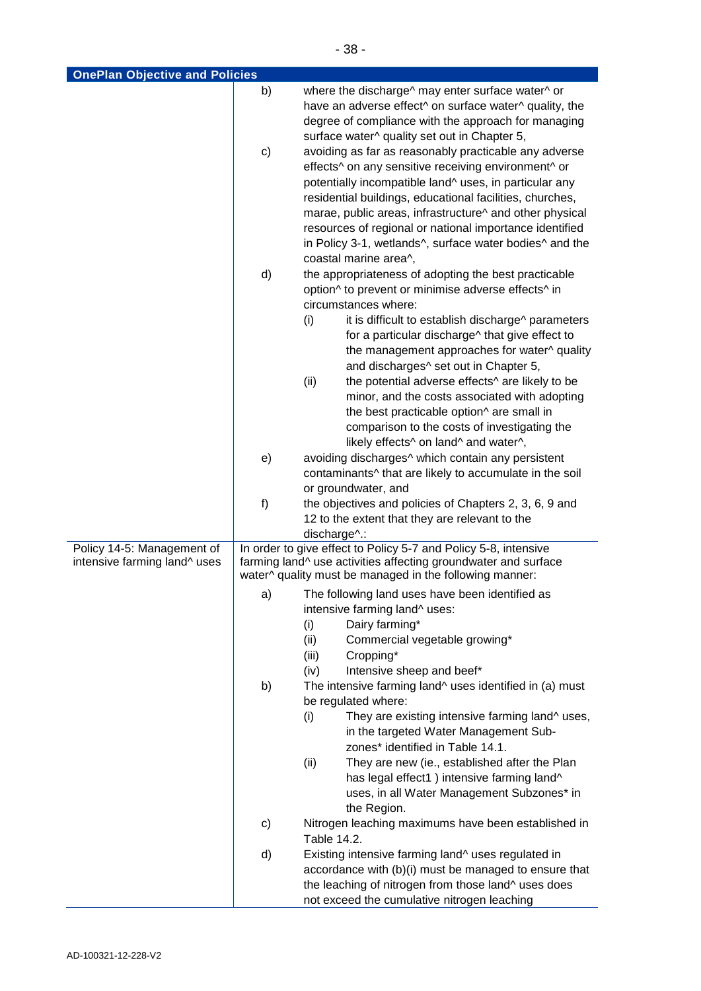| <b>OnePlan Objective and Policies</b>                      |    |                                                                                                                                                                                                                                                                                             |
|------------------------------------------------------------|----|---------------------------------------------------------------------------------------------------------------------------------------------------------------------------------------------------------------------------------------------------------------------------------------------|
|                                                            | b) | where the discharge^ may enter surface water^ or<br>have an adverse effect^ on surface water^ quality, the<br>degree of compliance with the approach for managing                                                                                                                           |
|                                                            | c) | surface water^ quality set out in Chapter 5,<br>avoiding as far as reasonably practicable any adverse<br>effects^ on any sensitive receiving environment^ or<br>potentially incompatible land^ uses, in particular any                                                                      |
|                                                            |    | residential buildings, educational facilities, churches,<br>marae, public areas, infrastructure^ and other physical<br>resources of regional or national importance identified<br>in Policy 3-1, wetlands <sup>^</sup> , surface water bodies <sup>^</sup> and the<br>coastal marine area^, |
|                                                            | d) | the appropriateness of adopting the best practicable<br>option <sup>^</sup> to prevent or minimise adverse effects <sup>^</sup> in<br>circumstances where:                                                                                                                                  |
|                                                            |    | (i)<br>it is difficult to establish discharge^ parameters<br>for a particular discharge^ that give effect to<br>the management approaches for water^ quality<br>and discharges^ set out in Chapter 5,                                                                                       |
|                                                            |    | the potential adverse effects^ are likely to be<br>(ii)<br>minor, and the costs associated with adopting<br>the best practicable option^ are small in<br>comparison to the costs of investigating the                                                                                       |
|                                                            |    | likely effects^ on land^ and water^,                                                                                                                                                                                                                                                        |
|                                                            | e) | avoiding discharges <sup>^</sup> which contain any persistent<br>contaminants^ that are likely to accumulate in the soil<br>or groundwater, and                                                                                                                                             |
|                                                            | f) | the objectives and policies of Chapters 2, 3, 6, 9 and                                                                                                                                                                                                                                      |
|                                                            |    | 12 to the extent that they are relevant to the<br>discharge^.:                                                                                                                                                                                                                              |
| Policy 14-5: Management of<br>intensive farming land^ uses |    | In order to give effect to Policy 5-7 and Policy 5-8, intensive<br>farming land^ use activities affecting groundwater and surface                                                                                                                                                           |
|                                                            |    | water^ quality must be managed in the following manner:                                                                                                                                                                                                                                     |
|                                                            | a) | The following land uses have been identified as<br>intensive farming land^ uses:                                                                                                                                                                                                            |
|                                                            |    | Dairy farming*<br>(i)                                                                                                                                                                                                                                                                       |
|                                                            |    | Commercial vegetable growing*<br>(ii)<br>(iii)<br>Cropping*                                                                                                                                                                                                                                 |
|                                                            | b) | Intensive sheep and beef*<br>(iv)<br>The intensive farming land <sup>^</sup> uses identified in (a) must                                                                                                                                                                                    |
|                                                            |    | be regulated where:                                                                                                                                                                                                                                                                         |
|                                                            |    | They are existing intensive farming land^ uses,<br>(i)<br>in the targeted Water Management Sub-<br>zones* identified in Table 14.1.                                                                                                                                                         |
|                                                            |    | They are new (ie., established after the Plan<br>(ii)<br>has legal effect1) intensive farming land^<br>uses, in all Water Management Subzones* in<br>the Region.                                                                                                                            |
|                                                            | c) | Nitrogen leaching maximums have been established in<br>Table 14.2.                                                                                                                                                                                                                          |
|                                                            | d) | Existing intensive farming land^ uses regulated in<br>accordance with (b)(i) must be managed to ensure that<br>the leaching of nitrogen from those land^ uses does<br>not exceed the cumulative nitrogen leaching                                                                           |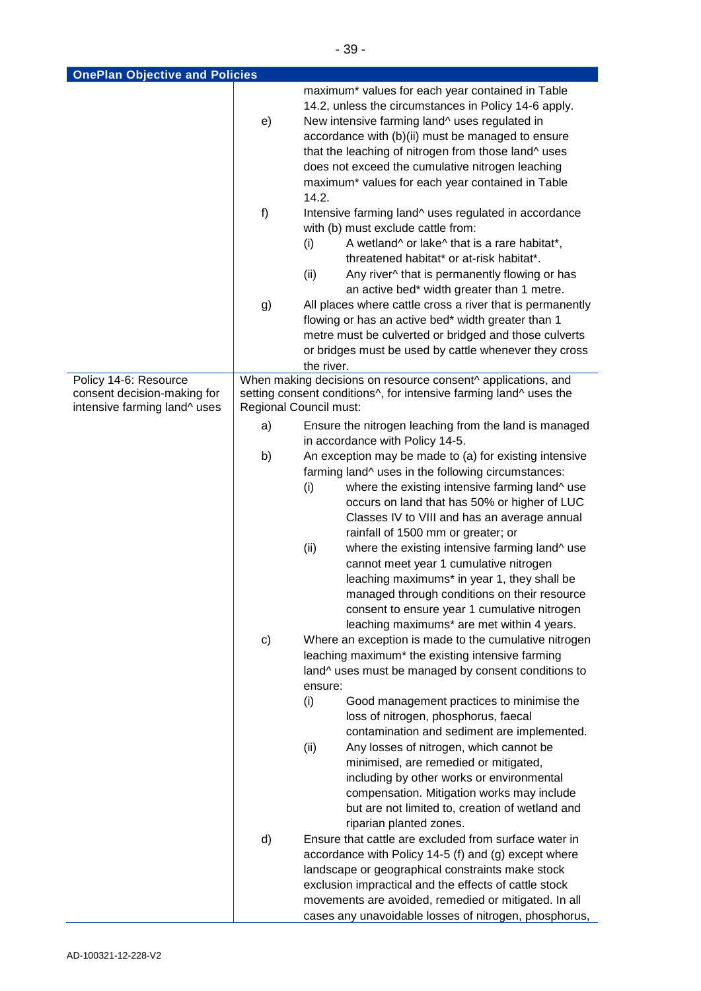| <b>OnePlan Objective and Policies</b>                       |    |                                                                                             |
|-------------------------------------------------------------|----|---------------------------------------------------------------------------------------------|
|                                                             |    | maximum* values for each year contained in Table                                            |
|                                                             |    | 14.2, unless the circumstances in Policy 14-6 apply.                                        |
|                                                             | e) | New intensive farming land^ uses regulated in                                               |
|                                                             |    | accordance with (b)(ii) must be managed to ensure                                           |
|                                                             |    | that the leaching of nitrogen from those land^ uses                                         |
|                                                             |    | does not exceed the cumulative nitrogen leaching                                            |
|                                                             |    | maximum* values for each year contained in Table                                            |
|                                                             |    | 14.2.                                                                                       |
|                                                             | f) | Intensive farming land^ uses regulated in accordance                                        |
|                                                             |    | with (b) must exclude cattle from:                                                          |
|                                                             |    | A wetland <sup>^</sup> or lake <sup>^</sup> that is a rare habitat*,<br>(i)                 |
|                                                             |    | threatened habitat* or at-risk habitat*.                                                    |
|                                                             |    | Any river^ that is permanently flowing or has<br>(ii)                                       |
|                                                             |    | an active bed* width greater than 1 metre.                                                  |
|                                                             | g) | All places where cattle cross a river that is permanently                                   |
|                                                             |    | flowing or has an active bed* width greater than 1                                          |
|                                                             |    | metre must be culverted or bridged and those culverts                                       |
|                                                             |    | or bridges must be used by cattle whenever they cross                                       |
|                                                             |    | the river.                                                                                  |
| Policy 14-6: Resource                                       |    | When making decisions on resource consent^ applications, and                                |
| consent decision-making for<br>intensive farming land^ uses |    | setting consent conditions^, for intensive farming land^ uses the<br>Regional Council must: |
|                                                             |    |                                                                                             |
|                                                             | a) | Ensure the nitrogen leaching from the land is managed                                       |
|                                                             |    | in accordance with Policy 14-5.                                                             |
|                                                             | b) | An exception may be made to (a) for existing intensive                                      |
|                                                             |    | farming land^ uses in the following circumstances:                                          |
|                                                             |    | where the existing intensive farming land^ use<br>(i)                                       |
|                                                             |    | occurs on land that has 50% or higher of LUC                                                |
|                                                             |    | Classes IV to VIII and has an average annual                                                |
|                                                             |    | rainfall of 1500 mm or greater; or                                                          |
|                                                             |    | where the existing intensive farming land^ use<br>(ii)                                      |
|                                                             |    | cannot meet year 1 cumulative nitrogen                                                      |
|                                                             |    | leaching maximums* in year 1, they shall be                                                 |
|                                                             |    | managed through conditions on their resource                                                |
|                                                             |    | consent to ensure year 1 cumulative nitrogen                                                |
|                                                             |    | leaching maximums* are met within 4 years.                                                  |
|                                                             | c) | Where an exception is made to the cumulative nitrogen                                       |
|                                                             |    | leaching maximum* the existing intensive farming                                            |
|                                                             |    | land^ uses must be managed by consent conditions to                                         |
|                                                             |    | ensure:                                                                                     |
|                                                             |    | (i)<br>Good management practices to minimise the                                            |
|                                                             |    | loss of nitrogen, phosphorus, faecal                                                        |
|                                                             |    | contamination and sediment are implemented.                                                 |
|                                                             |    | Any losses of nitrogen, which cannot be<br>(ii)                                             |
|                                                             |    | minimised, are remedied or mitigated,                                                       |
|                                                             |    | including by other works or environmental                                                   |
|                                                             |    | compensation. Mitigation works may include                                                  |
|                                                             |    | but are not limited to, creation of wetland and                                             |
|                                                             |    | riparian planted zones.                                                                     |
|                                                             | d) | Ensure that cattle are excluded from surface water in                                       |
|                                                             |    | accordance with Policy 14-5 (f) and (g) except where                                        |
|                                                             |    | landscape or geographical constraints make stock                                            |
|                                                             |    | exclusion impractical and the effects of cattle stock                                       |
|                                                             |    | movements are avoided, remedied or mitigated. In all                                        |
|                                                             |    | cases any unavoidable losses of nitrogen, phosphorus,                                       |